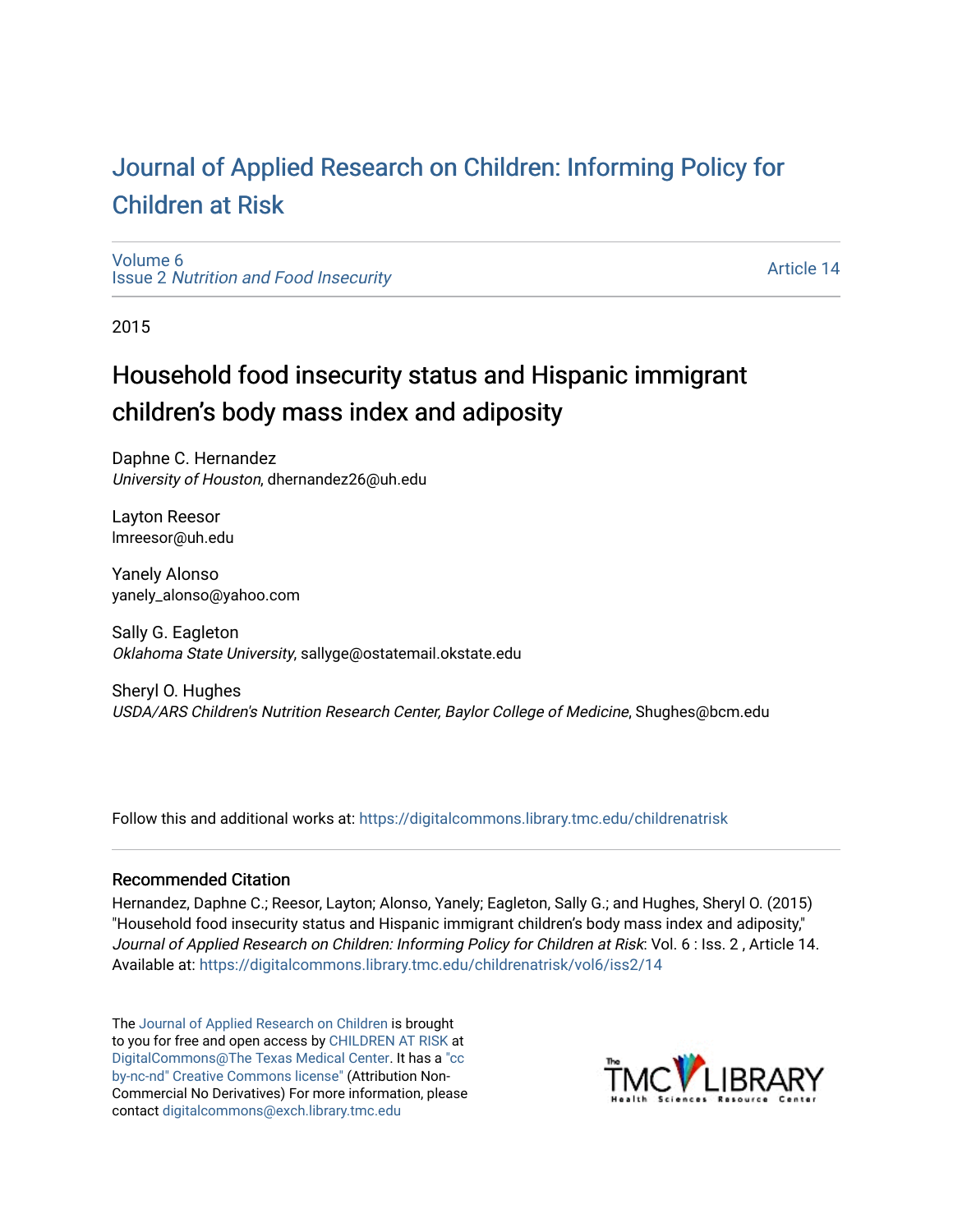# [Journal of Applied Research on Children: Informing Policy for](https://digitalcommons.library.tmc.edu/childrenatrisk) [Children at Risk](https://digitalcommons.library.tmc.edu/childrenatrisk)

[Volume 6](https://digitalcommons.library.tmc.edu/childrenatrisk/vol6) Issue 2 [Nutrition and Food Insecurity](https://digitalcommons.library.tmc.edu/childrenatrisk/vol6/iss2) 

[Article 14](https://digitalcommons.library.tmc.edu/childrenatrisk/vol6/iss2/14) 

2015

# Household food insecurity status and Hispanic immigrant children's body mass index and adiposity

Daphne C. Hernandez University of Houston, dhernandez26@uh.edu

Layton Reesor lmreesor@uh.edu

Yanely Alonso yanely\_alonso@yahoo.com

Sally G. Eagleton Oklahoma State University, sallyge@ostatemail.okstate.edu

Sheryl O. Hughes USDA/ARS Children's Nutrition Research Center, Baylor College of Medicine, Shughes@bcm.edu

Follow this and additional works at: [https://digitalcommons.library.tmc.edu/childrenatrisk](https://digitalcommons.library.tmc.edu/childrenatrisk?utm_source=digitalcommons.library.tmc.edu%2Fchildrenatrisk%2Fvol6%2Fiss2%2F14&utm_medium=PDF&utm_campaign=PDFCoverPages) 

#### Recommended Citation

Hernandez, Daphne C.; Reesor, Layton; Alonso, Yanely; Eagleton, Sally G.; and Hughes, Sheryl O. (2015) "Household food insecurity status and Hispanic immigrant children's body mass index and adiposity," Journal of Applied Research on Children: Informing Policy for Children at Risk: Vol. 6 : Iss. 2 , Article 14. Available at: [https://digitalcommons.library.tmc.edu/childrenatrisk/vol6/iss2/14](https://digitalcommons.library.tmc.edu/childrenatrisk/vol6/iss2/14?utm_source=digitalcommons.library.tmc.edu%2Fchildrenatrisk%2Fvol6%2Fiss2%2F14&utm_medium=PDF&utm_campaign=PDFCoverPages) 

The [Journal of Applied Research on Children](http://digitalcommons.library.tmc.edu/childrenatrisk) is brought to you for free and open access by [CHILDREN AT RISK](http://childrenatrisk.org/) at [DigitalCommons@The Texas Medical Center](http://digitalcommons.library.tmc.edu/). It has a ["cc](http://creativecommons.org/licenses/by-nc-nd/3.0/)  [by-nc-nd" Creative Commons license"](http://creativecommons.org/licenses/by-nc-nd/3.0/) (Attribution Non-Commercial No Derivatives) For more information, please contact [digitalcommons@exch.library.tmc.edu](mailto:digitalcommons@exch.library.tmc.edu) 

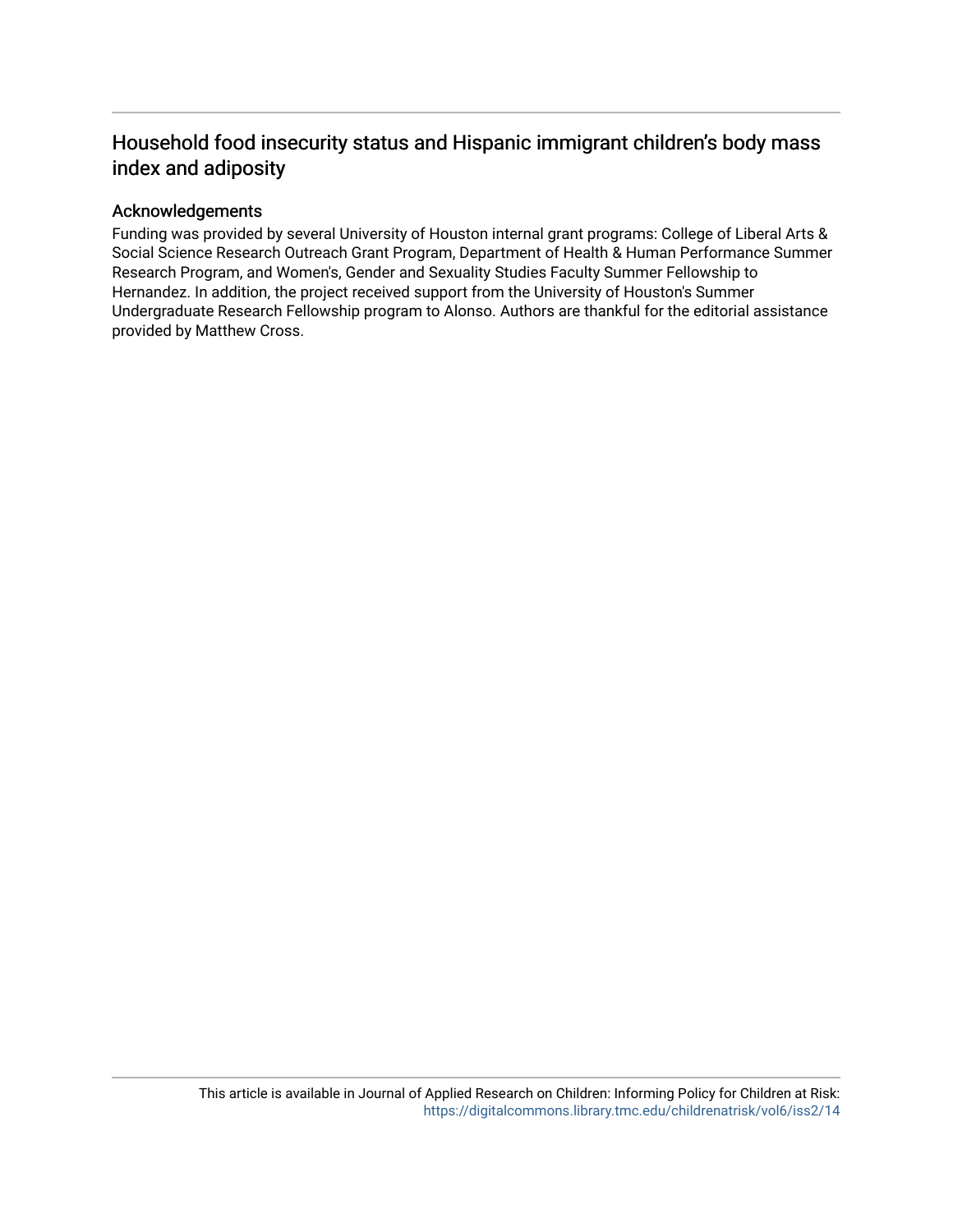# Household food insecurity status and Hispanic immigrant children's body mass index and adiposity

#### Acknowledgements

Funding was provided by several University of Houston internal grant programs: College of Liberal Arts & Social Science Research Outreach Grant Program, Department of Health & Human Performance Summer Research Program, and Women's, Gender and Sexuality Studies Faculty Summer Fellowship to Hernandez. In addition, the project received support from the University of Houston's Summer Undergraduate Research Fellowship program to Alonso. Authors are thankful for the editorial assistance provided by Matthew Cross.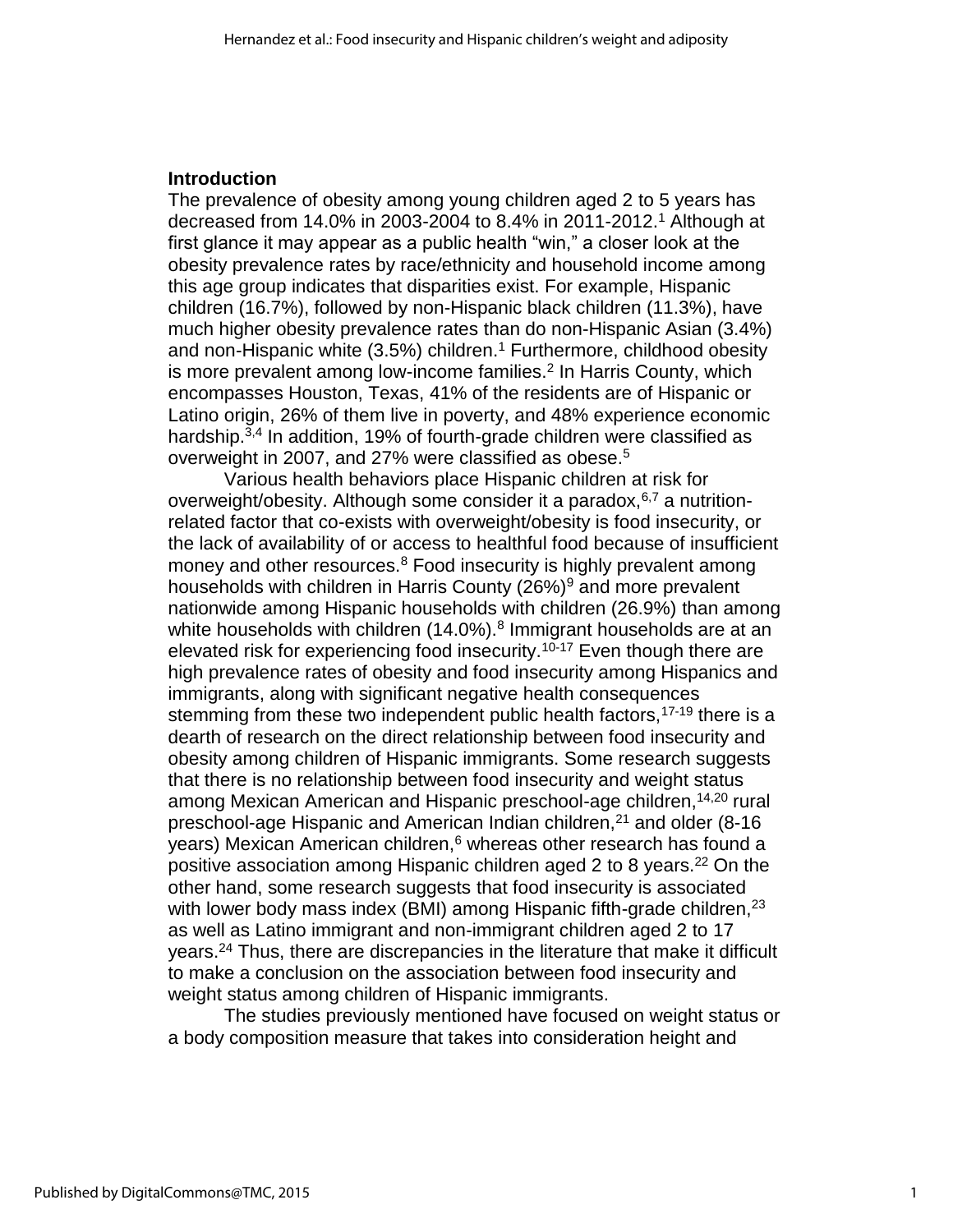#### **Introduction**

The prevalence of obesity among young children aged 2 to 5 years has decreased from 14.0% in 2003-2004 to 8.4% in 2011-2012.<sup>1</sup> Although at first glance it may appear as a public health "win," a closer look at the obesity prevalence rates by race/ethnicity and household income among this age group indicates that disparities exist. For example, Hispanic children (16.7%), followed by non-Hispanic black children (11.3%), have much higher obesity prevalence rates than do non-Hispanic Asian (3.4%) and non-Hispanic white  $(3.5%)$  children.<sup>1</sup> Furthermore, childhood obesity is more prevalent among low-income families.<sup>2</sup> In Harris County, which encompasses Houston, Texas, 41% of the residents are of Hispanic or Latino origin, 26% of them live in poverty, and 48% experience economic hardship.<sup>3,4</sup> In addition, 19% of fourth-grade children were classified as overweight in 2007, and 27% were classified as obese.<sup>5</sup>

Various health behaviors place Hispanic children at risk for overweight/obesity. Although some consider it a paradox, $6,7$  a nutritionrelated factor that co-exists with overweight/obesity is food insecurity, or the lack of availability of or access to healthful food because of insufficient money and other resources.<sup>8</sup> Food insecurity is highly prevalent among households with children in Harris County (26%)<sup>9</sup> and more prevalent nationwide among Hispanic households with children (26.9%) than among white households with children (14.0%).<sup>8</sup> Immigrant households are at an elevated risk for experiencing food insecurity.<sup>10-17</sup> Even though there are high prevalence rates of obesity and food insecurity among Hispanics and immigrants, along with significant negative health consequences stemming from these two independent public health factors,  $17-19$  there is a dearth of research on the direct relationship between food insecurity and obesity among children of Hispanic immigrants. Some research suggests that there is no relationship between food insecurity and weight status among Mexican American and Hispanic preschool-age children, 14,20 rural preschool-age Hispanic and American Indian children,<sup>21</sup> and older (8-16 years) Mexican American children,<sup>6</sup> whereas other research has found a positive association among Hispanic children aged 2 to 8 years.<sup>22</sup> On the other hand, some research suggests that food insecurity is associated with lower body mass index (BMI) among Hispanic fifth-grade children,<sup>23</sup> as well as Latino immigrant and non-immigrant children aged 2 to 17 years.<sup>24</sup> Thus, there are discrepancies in the literature that make it difficult to make a conclusion on the association between food insecurity and weight status among children of Hispanic immigrants.

The studies previously mentioned have focused on weight status or a body composition measure that takes into consideration height and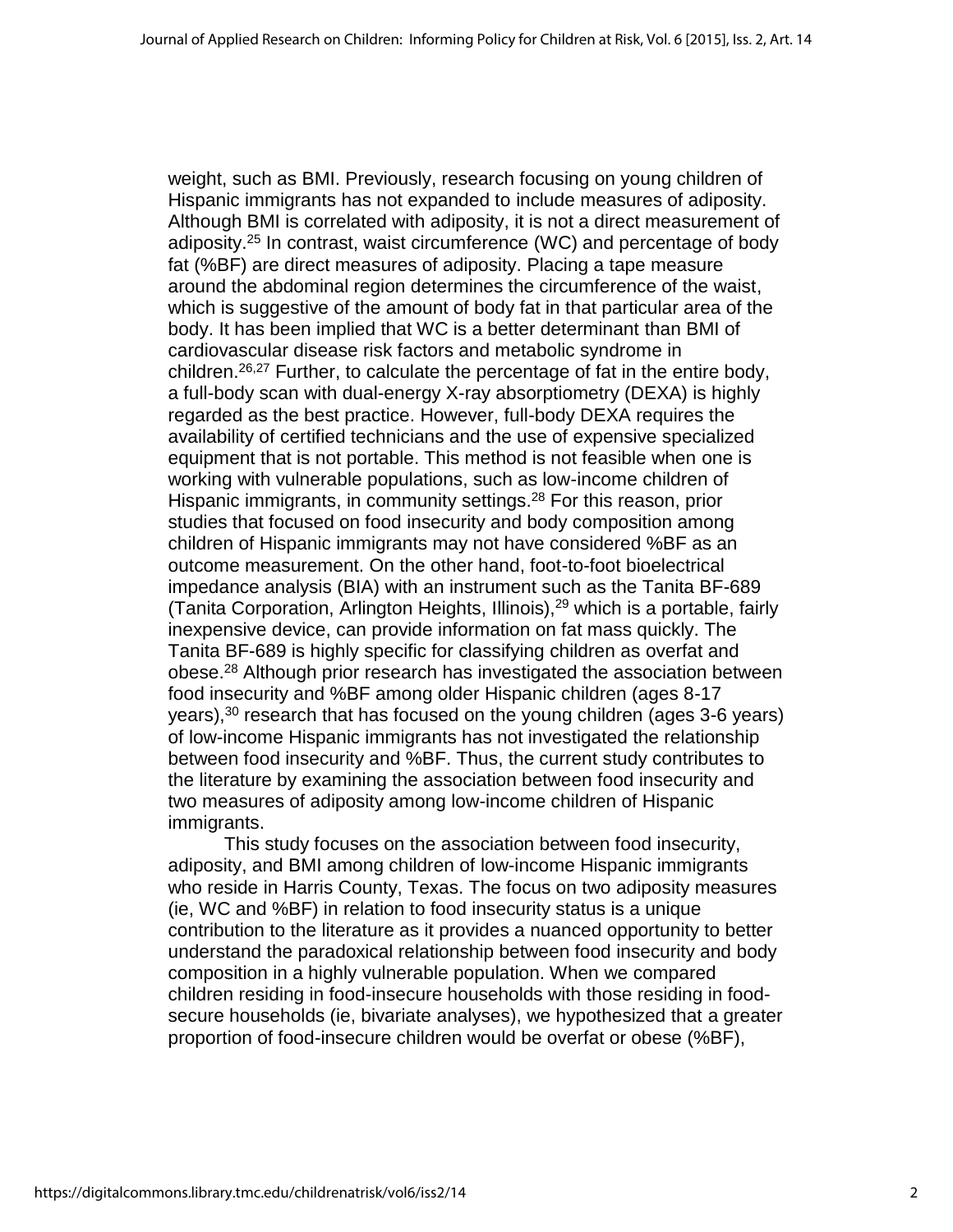weight, such as BMI. Previously, research focusing on young children of Hispanic immigrants has not expanded to include measures of adiposity. Although BMI is correlated with adiposity, it is not a direct measurement of adiposity.<sup>25</sup> In contrast, waist circumference (WC) and percentage of body fat (%BF) are direct measures of adiposity. Placing a tape measure around the abdominal region determines the circumference of the waist, which is suggestive of the amount of body fat in that particular area of the body. It has been implied that WC is a better determinant than BMI of cardiovascular disease risk factors and metabolic syndrome in children.<sup>26,27</sup> Further, to calculate the percentage of fat in the entire body, a full-body scan with dual-energy X-ray absorptiometry (DEXA) is highly regarded as the best practice. However, full-body DEXA requires the availability of certified technicians and the use of expensive specialized equipment that is not portable. This method is not feasible when one is working with vulnerable populations, such as low-income children of Hispanic immigrants, in community settings.<sup>28</sup> For this reason, prior studies that focused on food insecurity and body composition among children of Hispanic immigrants may not have considered %BF as an outcome measurement. On the other hand, foot-to-foot bioelectrical impedance analysis (BIA) with an instrument such as the Tanita BF-689 (Tanita Corporation, Arlington Heights, Illinois), $^{29}$  which is a portable, fairly inexpensive device, can provide information on fat mass quickly. The Tanita BF-689 is highly specific for classifying children as overfat and obese.<sup>28</sup> Although prior research has investigated the association between food insecurity and %BF among older Hispanic children (ages 8-17 years),  $30$  research that has focused on the young children (ages 3-6 years) of low-income Hispanic immigrants has not investigated the relationship between food insecurity and %BF. Thus, the current study contributes to the literature by examining the association between food insecurity and two measures of adiposity among low-income children of Hispanic immigrants.

This study focuses on the association between food insecurity, adiposity, and BMI among children of low-income Hispanic immigrants who reside in Harris County, Texas. The focus on two adiposity measures (ie, WC and %BF) in relation to food insecurity status is a unique contribution to the literature as it provides a nuanced opportunity to better understand the paradoxical relationship between food insecurity and body composition in a highly vulnerable population. When we compared children residing in food-insecure households with those residing in foodsecure households (ie, bivariate analyses), we hypothesized that a greater proportion of food-insecure children would be overfat or obese (%BF),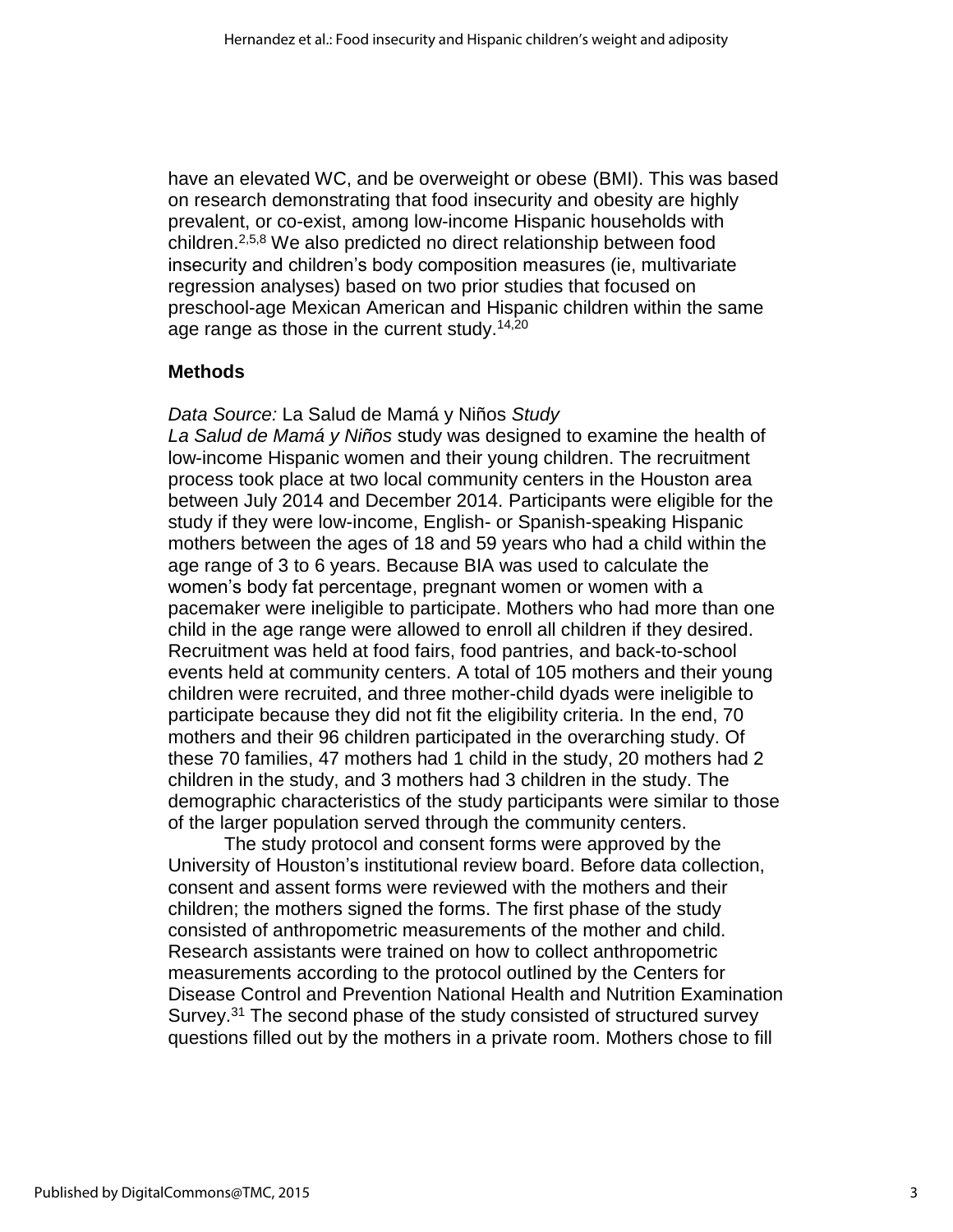have an elevated WC, and be overweight or obese (BMI). This was based on research demonstrating that food insecurity and obesity are highly prevalent, or co-exist, among low-income Hispanic households with children.2,5,8 We also predicted no direct relationship between food insecurity and children's body composition measures (ie, multivariate regression analyses) based on two prior studies that focused on preschool-age Mexican American and Hispanic children within the same age range as those in the current study.<sup>14,20</sup>

#### **Methods**

*Data Source:* La Salud de Mamá y Niños *Study La Salud de Mamá y Niños* study was designed to examine the health of low-income Hispanic women and their young children. The recruitment process took place at two local community centers in the Houston area between July 2014 and December 2014. Participants were eligible for the study if they were low-income, English- or Spanish-speaking Hispanic mothers between the ages of 18 and 59 years who had a child within the age range of 3 to 6 years. Because BIA was used to calculate the women's body fat percentage, pregnant women or women with a pacemaker were ineligible to participate. Mothers who had more than one child in the age range were allowed to enroll all children if they desired. Recruitment was held at food fairs, food pantries, and back-to-school events held at community centers. A total of 105 mothers and their young children were recruited, and three mother-child dyads were ineligible to participate because they did not fit the eligibility criteria. In the end, 70 mothers and their 96 children participated in the overarching study. Of these 70 families, 47 mothers had 1 child in the study, 20 mothers had 2 children in the study, and 3 mothers had 3 children in the study. The demographic characteristics of the study participants were similar to those of the larger population served through the community centers.

The study protocol and consent forms were approved by the University of Houston's institutional review board. Before data collection, consent and assent forms were reviewed with the mothers and their children; the mothers signed the forms. The first phase of the study consisted of anthropometric measurements of the mother and child. Research assistants were trained on how to collect anthropometric measurements according to the protocol outlined by the Centers for Disease Control and Prevention National Health and Nutrition Examination Survey.<sup>31</sup> The second phase of the study consisted of structured survey questions filled out by the mothers in a private room. Mothers chose to fill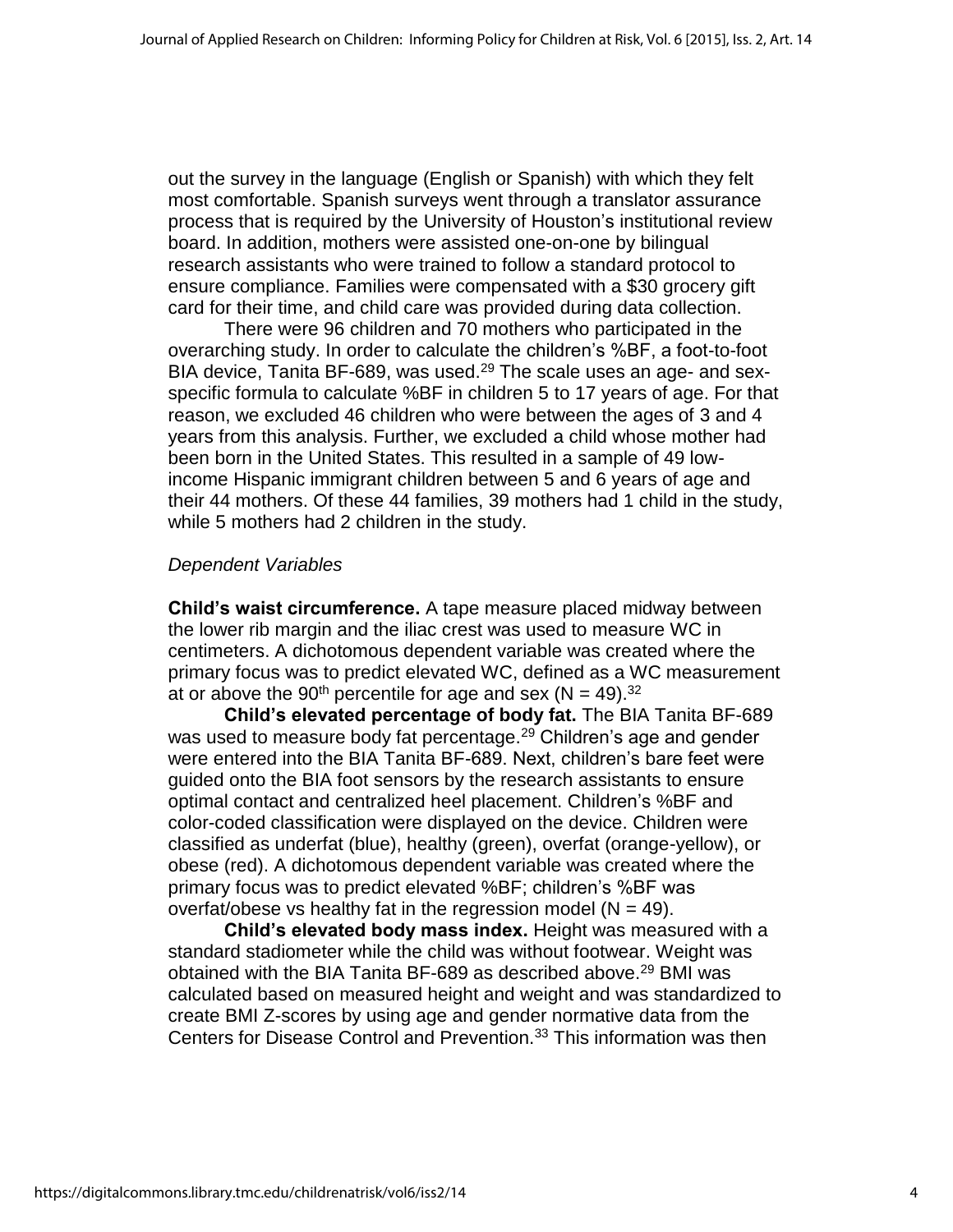out the survey in the language (English or Spanish) with which they felt most comfortable. Spanish surveys went through a translator assurance process that is required by the University of Houston's institutional review board. In addition, mothers were assisted one-on-one by bilingual research assistants who were trained to follow a standard protocol to ensure compliance. Families were compensated with a \$30 grocery gift card for their time, and child care was provided during data collection.

There were 96 children and 70 mothers who participated in the overarching study. In order to calculate the children's %BF, a foot-to-foot BIA device, Tanita BF-689, was used. $29$  The scale uses an age- and sexspecific formula to calculate %BF in children 5 to 17 years of age. For that reason, we excluded 46 children who were between the ages of 3 and 4 years from this analysis. Further, we excluded a child whose mother had been born in the United States. This resulted in a sample of 49 lowincome Hispanic immigrant children between 5 and 6 years of age and their 44 mothers. Of these 44 families, 39 mothers had 1 child in the study, while 5 mothers had 2 children in the study.

#### *Dependent Variables*

**Child's waist circumference.** A tape measure placed midway between the lower rib margin and the iliac crest was used to measure WC in centimeters. A dichotomous dependent variable was created where the primary focus was to predict elevated WC, defined as a WC measurement at or above the 90<sup>th</sup> percentile for age and sex ( $N = 49$ ).<sup>32</sup>

**Child's elevated percentage of body fat.** The BIA Tanita BF-689 was used to measure body fat percentage.<sup>29</sup> Children's age and gender were entered into the BIA Tanita BF-689. Next, children's bare feet were guided onto the BIA foot sensors by the research assistants to ensure optimal contact and centralized heel placement. Children's %BF and color-coded classification were displayed on the device. Children were classified as underfat (blue), healthy (green), overfat (orange-yellow), or obese (red). A dichotomous dependent variable was created where the primary focus was to predict elevated %BF; children's %BF was overfat/obese vs healthy fat in the regression model  $(N = 49)$ .

**Child's elevated body mass index.** Height was measured with a standard stadiometer while the child was without footwear. Weight was obtained with the BIA Tanita BF-689 as described above.<sup>29</sup> BMI was calculated based on measured height and weight and was standardized to create BMI Z-scores by using age and gender normative data from the Centers for Disease Control and Prevention.<sup>33</sup> This information was then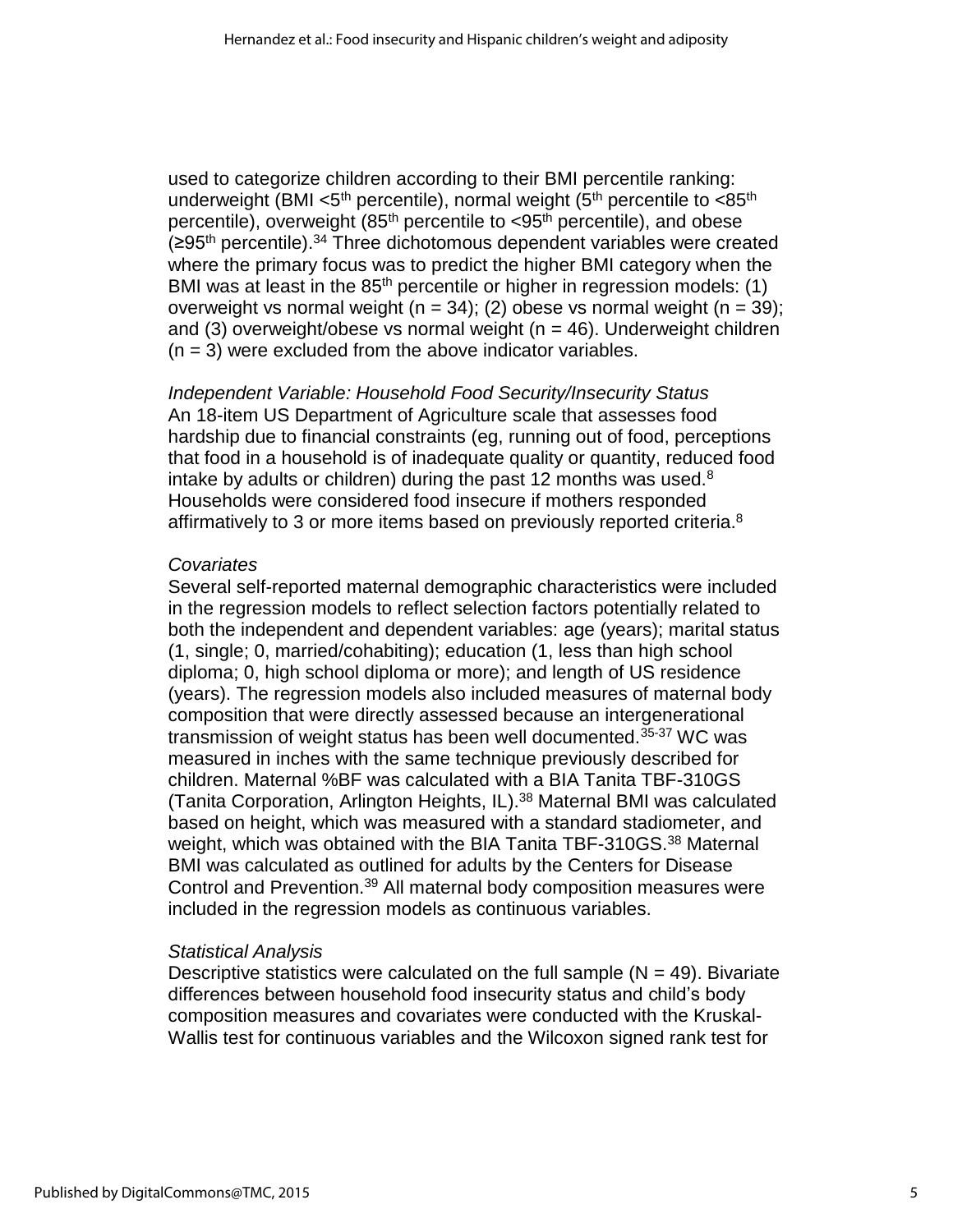used to categorize children according to their BMI percentile ranking: underweight (BMI  $<$ 5<sup>th</sup> percentile), normal weight (5<sup>th</sup> percentile to  $<$ 85<sup>th</sup> percentile), overweight  $(85<sup>th</sup>$  percentile to  $\lt 95<sup>th</sup>$  percentile), and obese  $(295<sup>th</sup>$  percentile).<sup>34</sup> Three dichotomous dependent variables were created where the primary focus was to predict the higher BMI category when the BMI was at least in the  $85<sup>th</sup>$  percentile or higher in regression models: (1) overweight vs normal weight ( $n = 34$ ); (2) obese vs normal weight ( $n = 39$ ); and  $(3)$  overweight/obese vs normal weight  $(n = 46)$ . Underweight children  $(n = 3)$  were excluded from the above indicator variables.

*Independent Variable: Household Food Security/Insecurity Status*  An 18-item US Department of Agriculture scale that assesses food hardship due to financial constraints (eg, running out of food, perceptions that food in a household is of inadequate quality or quantity, reduced food intake by adults or children) during the past 12 months was used. $8$ Households were considered food insecure if mothers responded affirmatively to 3 or more items based on previously reported criteria.<sup>8</sup>

### *Covariates*

Several self-reported maternal demographic characteristics were included in the regression models to reflect selection factors potentially related to both the independent and dependent variables: age (years); marital status (1, single; 0, married/cohabiting); education (1, less than high school diploma; 0, high school diploma or more); and length of US residence (years). The regression models also included measures of maternal body composition that were directly assessed because an intergenerational transmission of weight status has been well documented.<sup>35-37</sup> WC was measured in inches with the same technique previously described for children. Maternal %BF was calculated with a BIA Tanita TBF-310GS (Tanita Corporation, Arlington Heights, IL).<sup>38</sup> Maternal BMI was calculated based on height, which was measured with a standard stadiometer, and weight, which was obtained with the BIA Tanita TBF-310GS.<sup>38</sup> Maternal BMI was calculated as outlined for adults by the Centers for Disease Control and Prevention.<sup>39</sup> All maternal body composition measures were included in the regression models as continuous variables.

## *Statistical Analysis*

Descriptive statistics were calculated on the full sample  $(N = 49)$ . Bivariate differences between household food insecurity status and child's body composition measures and covariates were conducted with the Kruskal-Wallis test for continuous variables and the Wilcoxon signed rank test for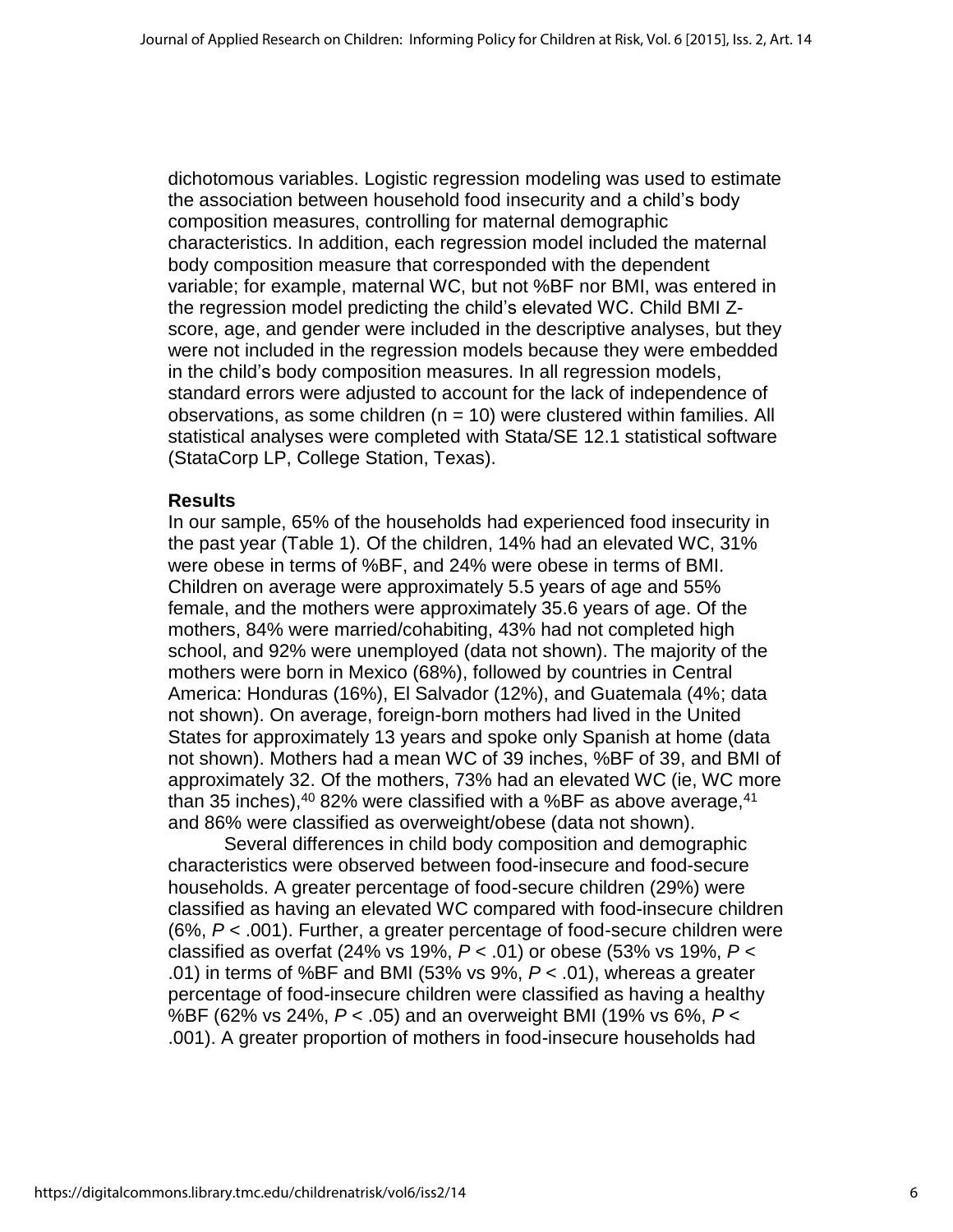dichotomous variables. Logistic regression modeling was used to estimate the association between household food insecurity and a child's body composition measures, controlling for maternal demographic characteristics. In addition, each regression model included the maternal body composition measure that corresponded with the dependent variable; for example, maternal WC, but not %BF nor BMI, was entered in the regression model predicting the child's elevated WC. Child BMI Zscore, age, and gender were included in the descriptive analyses, but they were not included in the regression models because they were embedded in the child's body composition measures. In all regression models, standard errors were adjusted to account for the lack of independence of observations, as some children ( $n = 10$ ) were clustered within families. All statistical analyses were completed with Stata/SE 12.1 statistical software (StataCorp LP, College Station, Texas).

#### **Results**

In our sample, 65% of the households had experienced food insecurity in the past year (Table 1). Of the children, 14% had an elevated WC, 31% were obese in terms of %BF, and 24% were obese in terms of BMI. Children on average were approximately 5.5 years of age and 55% female, and the mothers were approximately 35.6 years of age. Of the mothers, 84% were married/cohabiting, 43% had not completed high school, and 92% were unemployed (data not shown). The majority of the mothers were born in Mexico (68%), followed by countries in Central America: Honduras (16%), El Salvador (12%), and Guatemala (4%; data not shown). On average, foreign-born mothers had lived in the United States for approximately 13 years and spoke only Spanish at home (data not shown). Mothers had a mean WC of 39 inches, %BF of 39, and BMI of approximately 32. Of the mothers, 73% had an elevated WC (ie, WC more than 35 inches),  $40\,82\%$  were classified with a %BF as above average,  $41\,$ and 86% were classified as overweight/obese (data not shown).

Several differences in child body composition and demographic characteristics were observed between food-insecure and food-secure households. A greater percentage of food-secure children (29%) were classified as having an elevated WC compared with food-insecure children (6%, *P* < .001). Further, a greater percentage of food-secure children were classified as overfat (24% vs 19%, *P* < .01) or obese (53% vs 19%, *P* < .01) in terms of %BF and BMI (53% vs 9%, *P* < .01), whereas a greater percentage of food-insecure children were classified as having a healthy %BF (62% vs 24%, *P* < .05) and an overweight BMI (19% vs 6%, *P* < .001). A greater proportion of mothers in food-insecure households had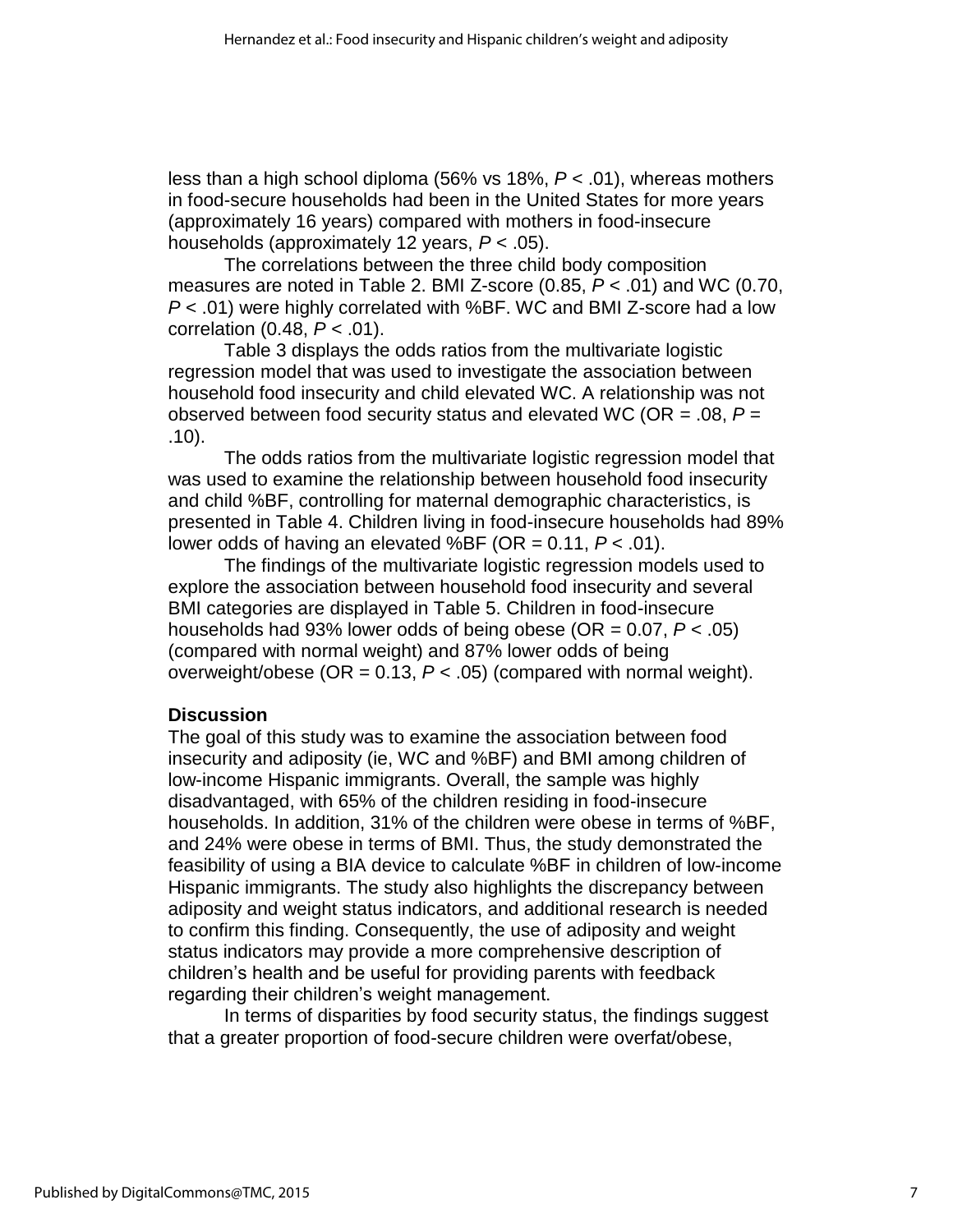less than a high school diploma (56% vs 18%, *P* < .01), whereas mothers in food-secure households had been in the United States for more years (approximately 16 years) compared with mothers in food-insecure households (approximately 12 years, *P* < .05).

The correlations between the three child body composition measures are noted in Table 2. BMI Z-score (0.85, *P* < .01) and WC (0.70, *P* < .01) were highly correlated with %BF. WC and BMI Z-score had a low correlation (0.48, *P* < .01).

Table 3 displays the odds ratios from the multivariate logistic regression model that was used to investigate the association between household food insecurity and child elevated WC. A relationship was not observed between food security status and elevated WC (OR = .08, *P* = .10).

The odds ratios from the multivariate logistic regression model that was used to examine the relationship between household food insecurity and child %BF, controlling for maternal demographic characteristics, is presented in Table 4. Children living in food-insecure households had 89% lower odds of having an elevated %BF (OR = 0.11, *P* < .01).

The findings of the multivariate logistic regression models used to explore the association between household food insecurity and several BMI categories are displayed in Table 5. Children in food-insecure households had 93% lower odds of being obese (OR = 0.07, *P* < .05) (compared with normal weight) and 87% lower odds of being overweight/obese (OR =  $0.13$ ,  $P < .05$ ) (compared with normal weight).

## **Discussion**

The goal of this study was to examine the association between food insecurity and adiposity (ie, WC and %BF) and BMI among children of low-income Hispanic immigrants. Overall, the sample was highly disadvantaged, with 65% of the children residing in food-insecure households. In addition, 31% of the children were obese in terms of %BF, and 24% were obese in terms of BMI. Thus, the study demonstrated the feasibility of using a BIA device to calculate %BF in children of low-income Hispanic immigrants. The study also highlights the discrepancy between adiposity and weight status indicators, and additional research is needed to confirm this finding. Consequently, the use of adiposity and weight status indicators may provide a more comprehensive description of children's health and be useful for providing parents with feedback regarding their children's weight management.

In terms of disparities by food security status, the findings suggest that a greater proportion of food-secure children were overfat/obese,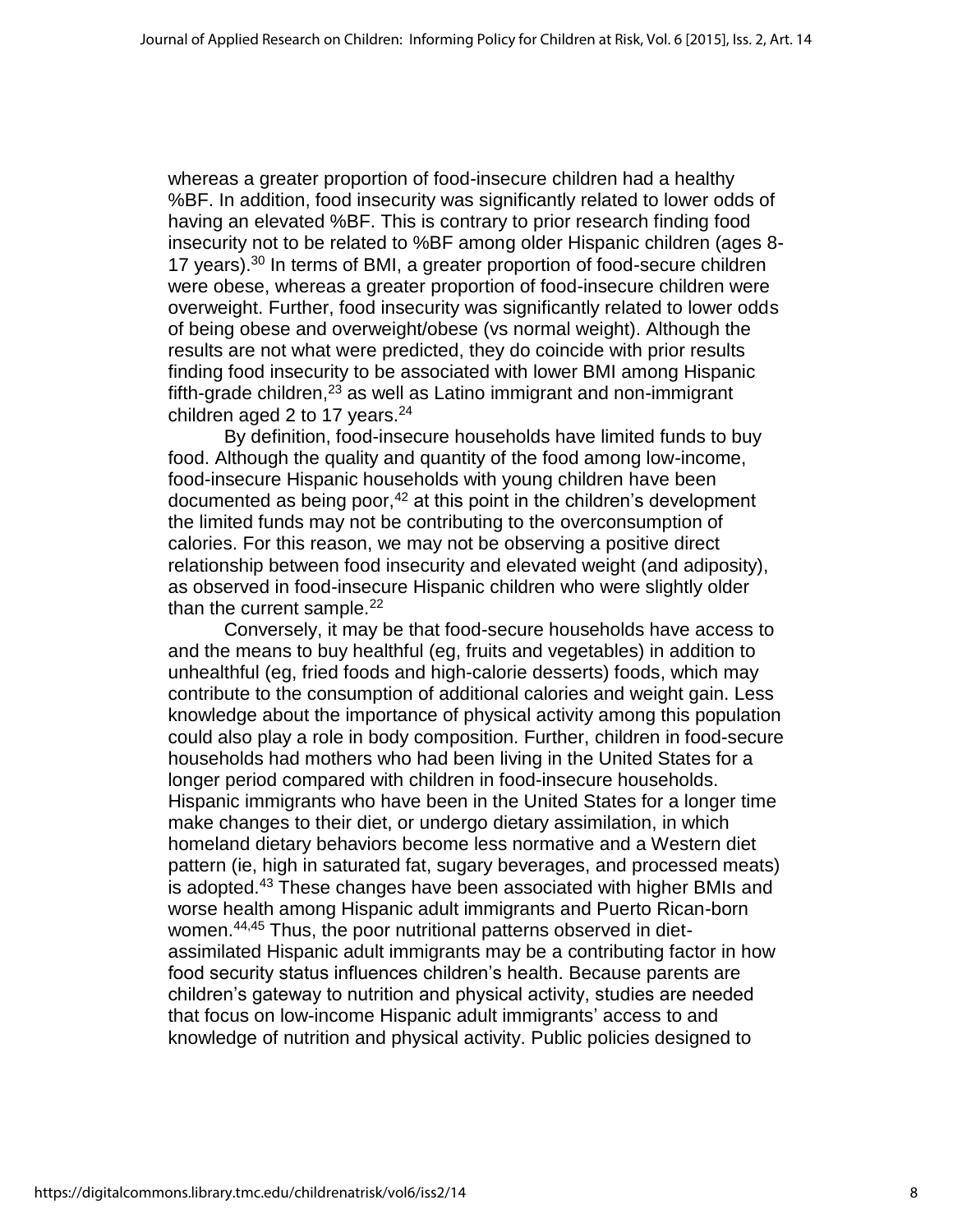whereas a greater proportion of food-insecure children had a healthy %BF. In addition, food insecurity was significantly related to lower odds of having an elevated %BF. This is contrary to prior research finding food insecurity not to be related to %BF among older Hispanic children (ages 8- 17 years). $30$  In terms of BMI, a greater proportion of food-secure children were obese, whereas a greater proportion of food-insecure children were overweight. Further, food insecurity was significantly related to lower odds of being obese and overweight/obese (vs normal weight). Although the results are not what were predicted, they do coincide with prior results finding food insecurity to be associated with lower BMI among Hispanic fifth-grade children, $^{23}$  as well as Latino immigrant and non-immigrant children aged 2 to 17 years. $24$ 

By definition, food-insecure households have limited funds to buy food. Although the quality and quantity of the food among low-income, food-insecure Hispanic households with young children have been documented as being poor, $42$  at this point in the children's development the limited funds may not be contributing to the overconsumption of calories. For this reason, we may not be observing a positive direct relationship between food insecurity and elevated weight (and adiposity), as observed in food-insecure Hispanic children who were slightly older than the current sample. $^{22}$ 

Conversely, it may be that food-secure households have access to and the means to buy healthful (eg, fruits and vegetables) in addition to unhealthful (eg, fried foods and high-calorie desserts) foods, which may contribute to the consumption of additional calories and weight gain. Less knowledge about the importance of physical activity among this population could also play a role in body composition. Further, children in food-secure households had mothers who had been living in the United States for a longer period compared with children in food-insecure households. Hispanic immigrants who have been in the United States for a longer time make changes to their diet, or undergo dietary assimilation, in which homeland dietary behaviors become less normative and a Western diet pattern (ie, high in saturated fat, sugary beverages, and processed meats) is adopted.<sup>43</sup> These changes have been associated with higher BMIs and worse health among Hispanic adult immigrants and Puerto Rican-born women.44,45 Thus, the poor nutritional patterns observed in dietassimilated Hispanic adult immigrants may be a contributing factor in how food security status influences children's health. Because parents are children's gateway to nutrition and physical activity, studies are needed that focus on low-income Hispanic adult immigrants' access to and knowledge of nutrition and physical activity. Public policies designed to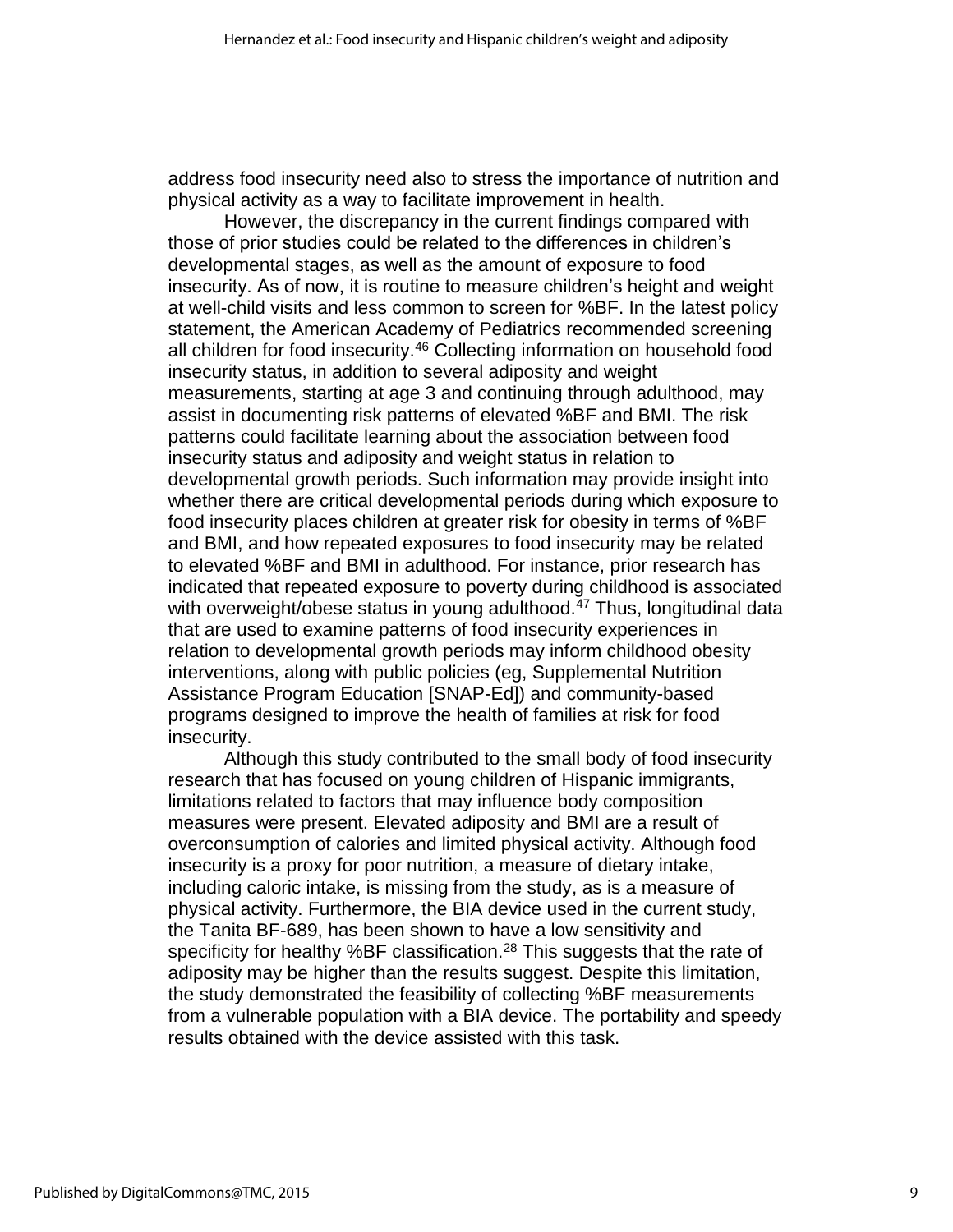address food insecurity need also to stress the importance of nutrition and physical activity as a way to facilitate improvement in health.

However, the discrepancy in the current findings compared with those of prior studies could be related to the differences in children's developmental stages, as well as the amount of exposure to food insecurity. As of now, it is routine to measure children's height and weight at well-child visits and less common to screen for %BF. In the latest policy statement, the American Academy of Pediatrics recommended screening all children for food insecurity.<sup>46</sup> Collecting information on household food insecurity status, in addition to several adiposity and weight measurements, starting at age 3 and continuing through adulthood, may assist in documenting risk patterns of elevated %BF and BMI. The risk patterns could facilitate learning about the association between food insecurity status and adiposity and weight status in relation to developmental growth periods. Such information may provide insight into whether there are critical developmental periods during which exposure to food insecurity places children at greater risk for obesity in terms of %BF and BMI, and how repeated exposures to food insecurity may be related to elevated %BF and BMI in adulthood. For instance, prior research has indicated that repeated exposure to poverty during childhood is associated with overweight/obese status in young adulthood.<sup>47</sup> Thus, longitudinal data that are used to examine patterns of food insecurity experiences in relation to developmental growth periods may inform childhood obesity interventions, along with public policies (eg, Supplemental Nutrition Assistance Program Education [SNAP-Ed]) and community-based programs designed to improve the health of families at risk for food insecurity.

Although this study contributed to the small body of food insecurity research that has focused on young children of Hispanic immigrants, limitations related to factors that may influence body composition measures were present. Elevated adiposity and BMI are a result of overconsumption of calories and limited physical activity. Although food insecurity is a proxy for poor nutrition, a measure of dietary intake, including caloric intake, is missing from the study, as is a measure of physical activity. Furthermore, the BIA device used in the current study, the Tanita BF-689, has been shown to have a low sensitivity and specificity for healthy %BF classification.<sup>28</sup> This suggests that the rate of adiposity may be higher than the results suggest. Despite this limitation, the study demonstrated the feasibility of collecting %BF measurements from a vulnerable population with a BIA device. The portability and speedy results obtained with the device assisted with this task.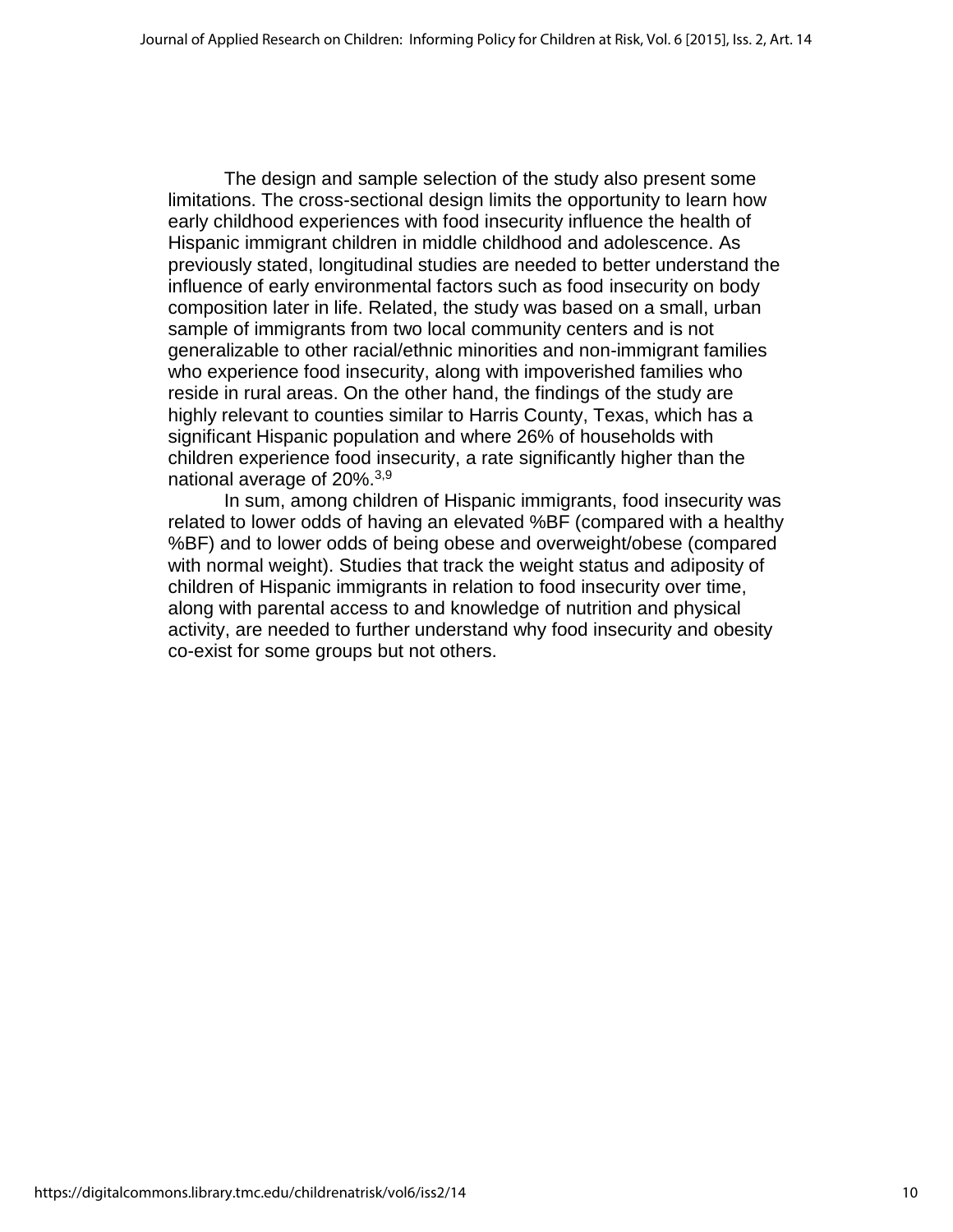The design and sample selection of the study also present some limitations. The cross-sectional design limits the opportunity to learn how early childhood experiences with food insecurity influence the health of Hispanic immigrant children in middle childhood and adolescence. As previously stated, longitudinal studies are needed to better understand the influence of early environmental factors such as food insecurity on body composition later in life. Related, the study was based on a small, urban sample of immigrants from two local community centers and is not generalizable to other racial/ethnic minorities and non-immigrant families who experience food insecurity, along with impoverished families who reside in rural areas. On the other hand, the findings of the study are highly relevant to counties similar to Harris County, Texas, which has a significant Hispanic population and where 26% of households with children experience food insecurity, a rate significantly higher than the national average of 20%.<sup>3,9</sup>

In sum, among children of Hispanic immigrants, food insecurity was related to lower odds of having an elevated %BF (compared with a healthy %BF) and to lower odds of being obese and overweight/obese (compared with normal weight). Studies that track the weight status and adiposity of children of Hispanic immigrants in relation to food insecurity over time, along with parental access to and knowledge of nutrition and physical activity, are needed to further understand why food insecurity and obesity co-exist for some groups but not others.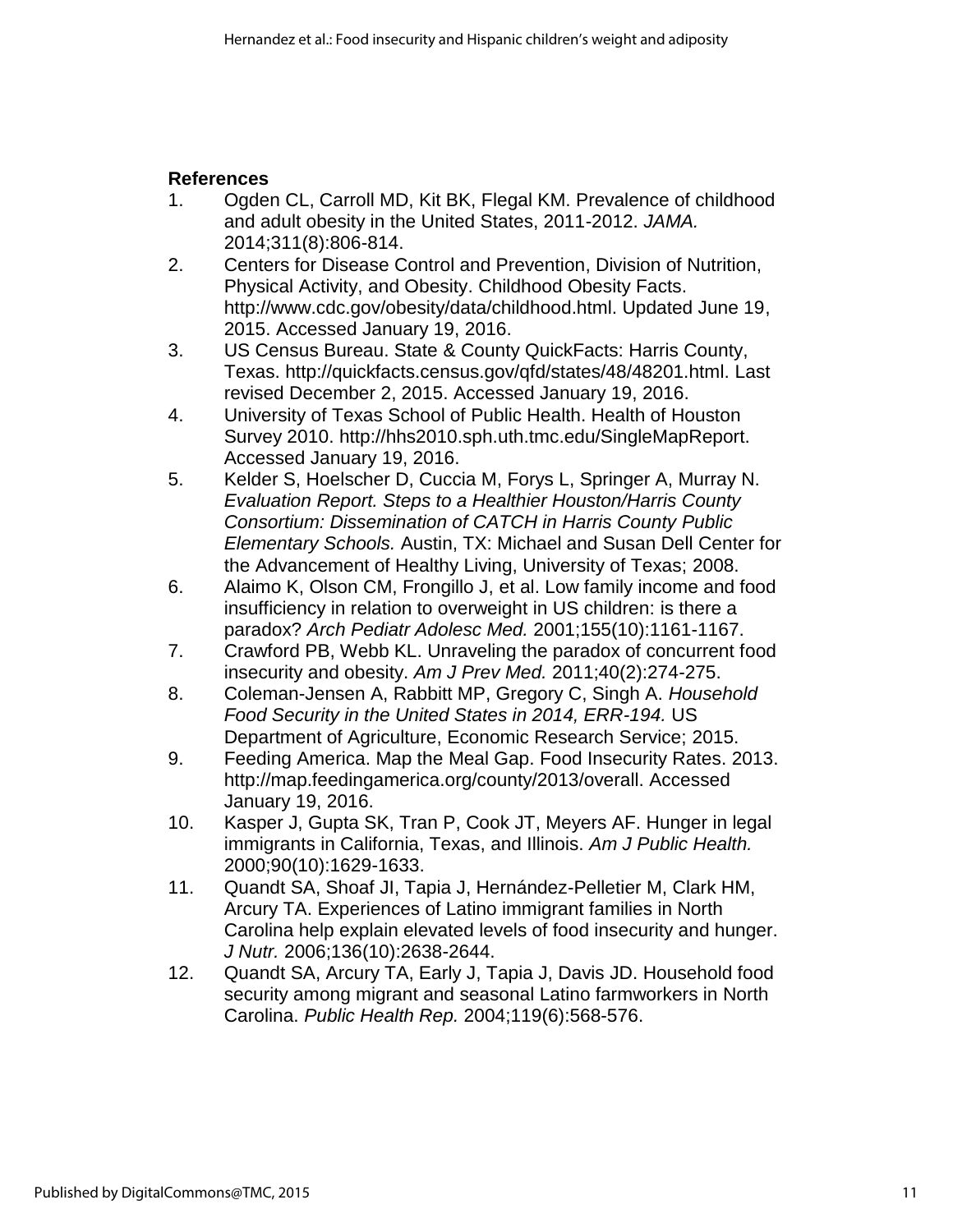## **References**

- 1. Ogden CL, Carroll MD, Kit BK, Flegal KM. Prevalence of childhood and adult obesity in the United States, 2011-2012. *JAMA.*  2014;311(8):806-814.
- 2. Centers for Disease Control and Prevention, Division of Nutrition, Physical Activity, and Obesity. Childhood Obesity Facts. http://www.cdc.gov/obesity/data/childhood.html. Updated June 19, 2015. Accessed January 19, 2016.
- 3. US Census Bureau. State & County QuickFacts: Harris County, Texas. http://quickfacts.census.gov/qfd/states/48/48201.html. Last revised December 2, 2015. Accessed January 19, 2016.
- 4. University of Texas School of Public Health. Health of Houston Survey 2010. http://hhs2010.sph.uth.tmc.edu/SingleMapReport. Accessed January 19, 2016.
- 5. Kelder S, Hoelscher D, Cuccia M, Forys L, Springer A, Murray N. *Evaluation Report. Steps to a Healthier Houston/Harris County Consortium: Dissemination of CATCH in Harris County Public Elementary Schools.* Austin, TX: Michael and Susan Dell Center for the Advancement of Healthy Living, University of Texas; 2008.
- 6. Alaimo K, Olson CM, Frongillo J, et al. Low family income and food insufficiency in relation to overweight in US children: is there a paradox? *Arch Pediatr Adolesc Med.* 2001;155(10):1161-1167.
- 7. Crawford PB, Webb KL. Unraveling the paradox of concurrent food insecurity and obesity. *Am J Prev Med.* 2011;40(2):274-275.
- 8. Coleman-Jensen A, Rabbitt MP, Gregory C, Singh A. *Household Food Security in the United States in 2014, ERR-194.* US Department of Agriculture, Economic Research Service; 2015.
- 9. Feeding America. Map the Meal Gap. Food Insecurity Rates. 2013. http://map.feedingamerica.org/county/2013/overall. Accessed January 19, 2016.
- 10. Kasper J, Gupta SK, Tran P, Cook JT, Meyers AF. Hunger in legal immigrants in California, Texas, and Illinois. *Am J Public Health.*  2000;90(10):1629-1633.
- 11. Quandt SA, Shoaf JI, Tapia J, Hernández-Pelletier M, Clark HM, Arcury TA. Experiences of Latino immigrant families in North Carolina help explain elevated levels of food insecurity and hunger. *J Nutr.* 2006;136(10):2638-2644.
- 12. Quandt SA, Arcury TA, Early J, Tapia J, Davis JD. Household food security among migrant and seasonal Latino farmworkers in North Carolina. *Public Health Rep.* 2004;119(6):568-576.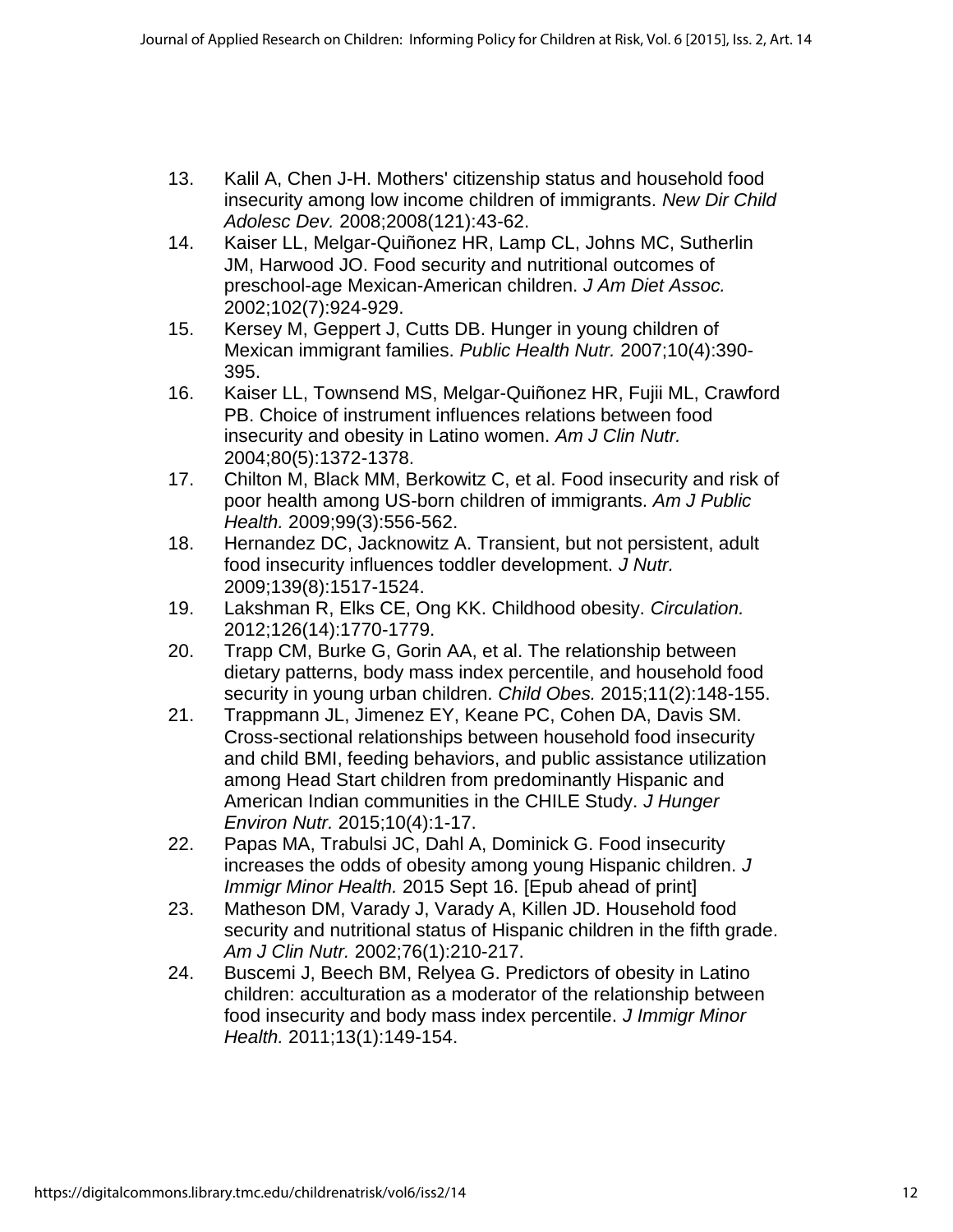- 13. Kalil A, Chen J-H. Mothers' citizenship status and household food insecurity among low income children of immigrants. *New Dir Child Adolesc Dev.* 2008;2008(121):43-62.
- 14. Kaiser LL, Melgar-Quiñonez HR, Lamp CL, Johns MC, Sutherlin JM, Harwood JO. Food security and nutritional outcomes of preschool-age Mexican-American children. *J Am Diet Assoc.*  2002;102(7):924-929.
- 15. Kersey M, Geppert J, Cutts DB. Hunger in young children of Mexican immigrant families. *Public Health Nutr.* 2007;10(4):390- 395.
- 16. Kaiser LL, Townsend MS, Melgar-Quiñonez HR, Fujii ML, Crawford PB. Choice of instrument influences relations between food insecurity and obesity in Latino women. *Am J Clin Nutr.*  2004;80(5):1372-1378.
- 17. Chilton M, Black MM, Berkowitz C, et al. Food insecurity and risk of poor health among US-born children of immigrants. *Am J Public Health.* 2009;99(3):556-562.
- 18. Hernandez DC, Jacknowitz A. Transient, but not persistent, adult food insecurity influences toddler development. *J Nutr.*  2009;139(8):1517-1524.
- 19. Lakshman R, Elks CE, Ong KK. Childhood obesity. *Circulation.*  2012;126(14):1770-1779.
- 20. Trapp CM, Burke G, Gorin AA, et al. The relationship between dietary patterns, body mass index percentile, and household food security in young urban children. *Child Obes.* 2015;11(2):148-155.
- 21. Trappmann JL, Jimenez EY, Keane PC, Cohen DA, Davis SM. Cross-sectional relationships between household food insecurity and child BMI, feeding behaviors, and public assistance utilization among Head Start children from predominantly Hispanic and American Indian communities in the CHILE Study. *J Hunger Environ Nutr.* 2015;10(4):1-17.
- 22. Papas MA, Trabulsi JC, Dahl A, Dominick G. Food insecurity increases the odds of obesity among young Hispanic children. *J Immigr Minor Health.* 2015 Sept 16. [Epub ahead of print]
- 23. Matheson DM, Varady J, Varady A, Killen JD. Household food security and nutritional status of Hispanic children in the fifth grade. *Am J Clin Nutr.* 2002;76(1):210-217.
- 24. Buscemi J, Beech BM, Relyea G. Predictors of obesity in Latino children: acculturation as a moderator of the relationship between food insecurity and body mass index percentile. *J Immigr Minor Health.* 2011;13(1):149-154.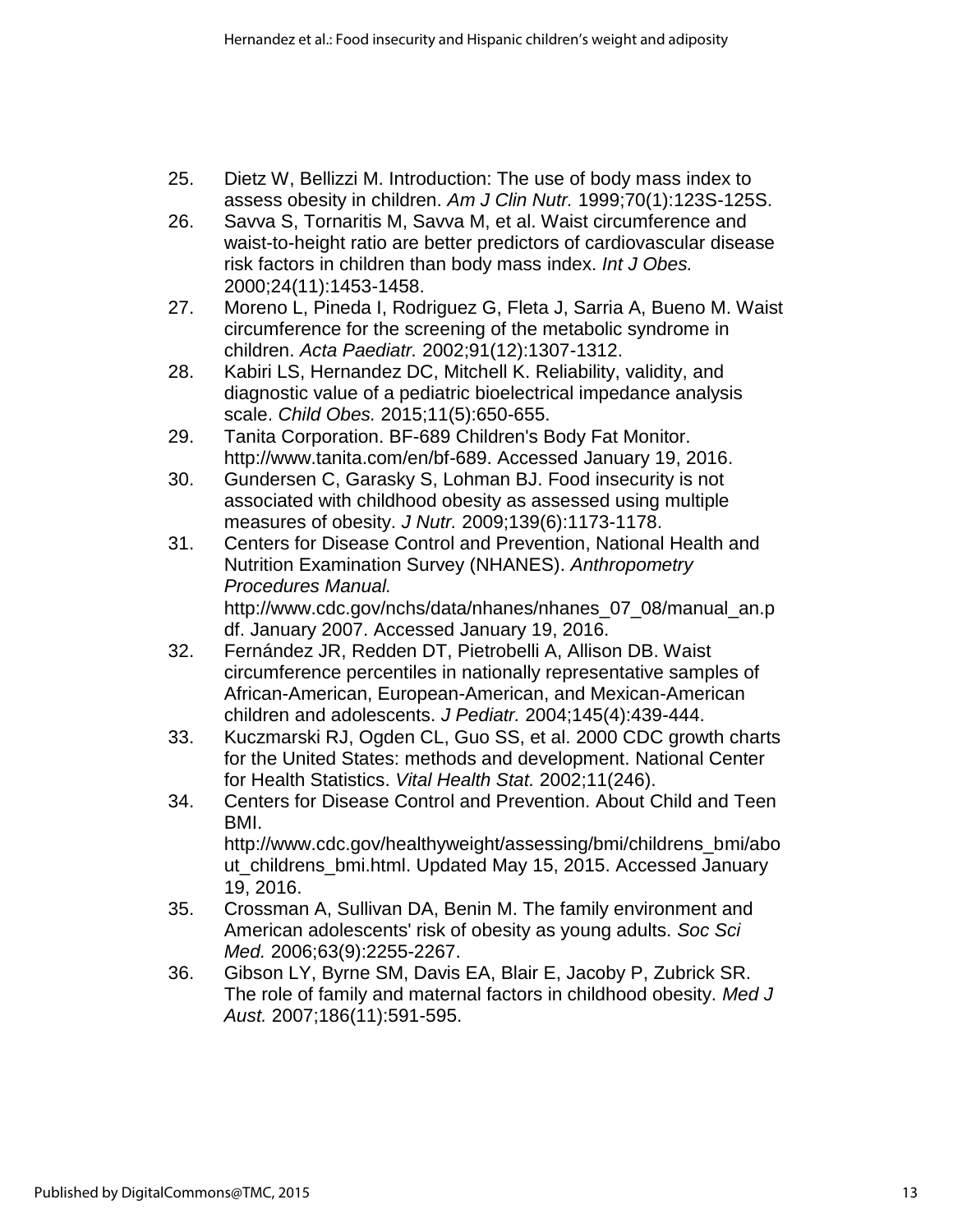- 25. Dietz W, Bellizzi M. Introduction: The use of body mass index to assess obesity in children. *Am J Clin Nutr.* 1999;70(1):123S-125S.
- 26. Savva S, Tornaritis M, Savva M, et al. Waist circumference and waist-to-height ratio are better predictors of cardiovascular disease risk factors in children than body mass index. *Int J Obes.*  2000;24(11):1453-1458.
- 27. Moreno L, Pineda I, Rodriguez G, Fleta J, Sarria A, Bueno M. Waist circumference for the screening of the metabolic syndrome in children. *Acta Paediatr.* 2002;91(12):1307-1312.
- 28. Kabiri LS, Hernandez DC, Mitchell K. Reliability, validity, and diagnostic value of a pediatric bioelectrical impedance analysis scale. *Child Obes.* 2015;11(5):650-655.
- 29. Tanita Corporation. BF-689 Children's Body Fat Monitor. http://www.tanita.com/en/bf-689. Accessed January 19, 2016.
- 30. Gundersen C, Garasky S, Lohman BJ. Food insecurity is not associated with childhood obesity as assessed using multiple measures of obesity. *J Nutr.* 2009;139(6):1173-1178.
- 31. Centers for Disease Control and Prevention, National Health and Nutrition Examination Survey (NHANES). *Anthropometry Procedures Manual.* http://www.cdc.gov/nchs/data/nhanes/nhanes\_07\_08/manual\_an.p df. January 2007. Accessed January 19, 2016.
- 32. Fernández JR, Redden DT, Pietrobelli A, Allison DB. Waist circumference percentiles in nationally representative samples of African-American, European-American, and Mexican-American children and adolescents. *J Pediatr.* 2004;145(4):439-444.
- 33. Kuczmarski RJ, Ogden CL, Guo SS, et al. 2000 CDC growth charts for the United States: methods and development. National Center for Health Statistics. *Vital Health Stat.* 2002;11(246).
- 34. Centers for Disease Control and Prevention. About Child and Teen BMI. http://www.cdc.gov/healthyweight/assessing/bmi/childrens\_bmi/abo ut\_childrens\_bmi.html. Updated May 15, 2015. Accessed January
- 19, 2016. 35. Crossman A, Sullivan DA, Benin M. The family environment and American adolescents' risk of obesity as young adults. *Soc Sci Med.* 2006;63(9):2255-2267.
- 36. Gibson LY, Byrne SM, Davis EA, Blair E, Jacoby P, Zubrick SR. The role of family and maternal factors in childhood obesity. *Med J Aust.* 2007;186(11):591-595.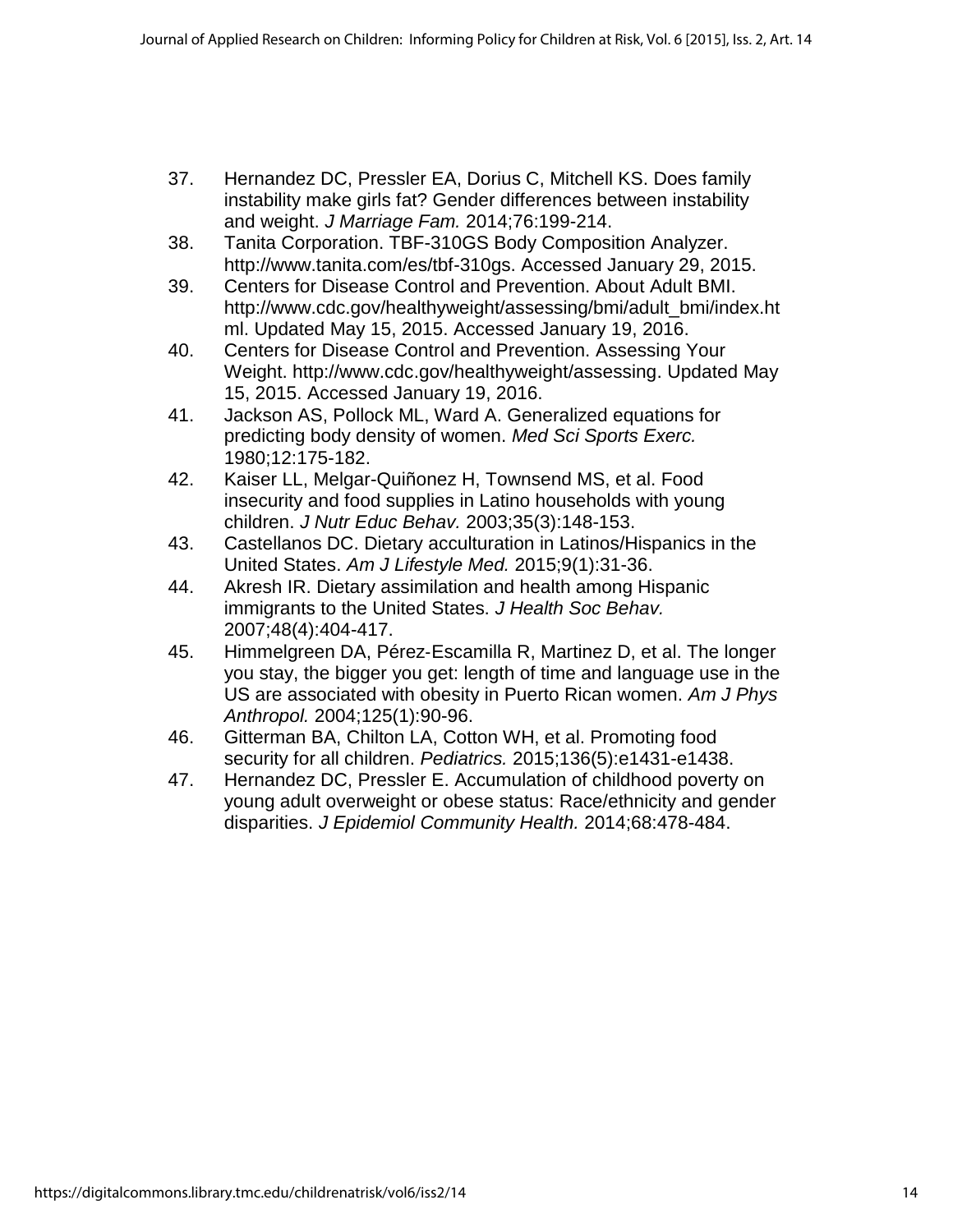- 37. Hernandez DC, Pressler EA, Dorius C, Mitchell KS. Does family instability make girls fat? Gender differences between instability and weight. *J Marriage Fam.* 2014;76:199-214.
- 38. Tanita Corporation. TBF-310GS Body Composition Analyzer. http://www.tanita.com/es/tbf-310gs. Accessed January 29, 2015.
- 39. Centers for Disease Control and Prevention. About Adult BMI. http://www.cdc.gov/healthyweight/assessing/bmi/adult\_bmi/index.ht ml. Updated May 15, 2015. Accessed January 19, 2016.
- 40. Centers for Disease Control and Prevention. Assessing Your Weight. http://www.cdc.gov/healthyweight/assessing. Updated May 15, 2015. Accessed January 19, 2016.
- 41. Jackson AS, Pollock ML, Ward A. Generalized equations for predicting body density of women. *Med Sci Sports Exerc.*  1980;12:175-182.
- 42. Kaiser LL, Melgar-Quiñonez H, Townsend MS, et al. Food insecurity and food supplies in Latino households with young children. *J Nutr Educ Behav.* 2003;35(3):148-153.
- 43. Castellanos DC. Dietary acculturation in Latinos/Hispanics in the United States. *Am J Lifestyle Med.* 2015;9(1):31-36.
- 44. Akresh IR. Dietary assimilation and health among Hispanic immigrants to the United States. *J Health Soc Behav.*  2007;48(4):404-417.
- 45. Himmelgreen DA, Pérez‐Escamilla R, Martinez D, et al. The longer you stay, the bigger you get: length of time and language use in the US are associated with obesity in Puerto Rican women. *Am J Phys Anthropol.* 2004;125(1):90-96.
- 46. Gitterman BA, Chilton LA, Cotton WH, et al. Promoting food security for all children. *Pediatrics.* 2015;136(5):e1431-e1438.
- 47. Hernandez DC, Pressler E. Accumulation of childhood poverty on young adult overweight or obese status: Race/ethnicity and gender disparities. *J Epidemiol Community Health.* 2014;68:478-484.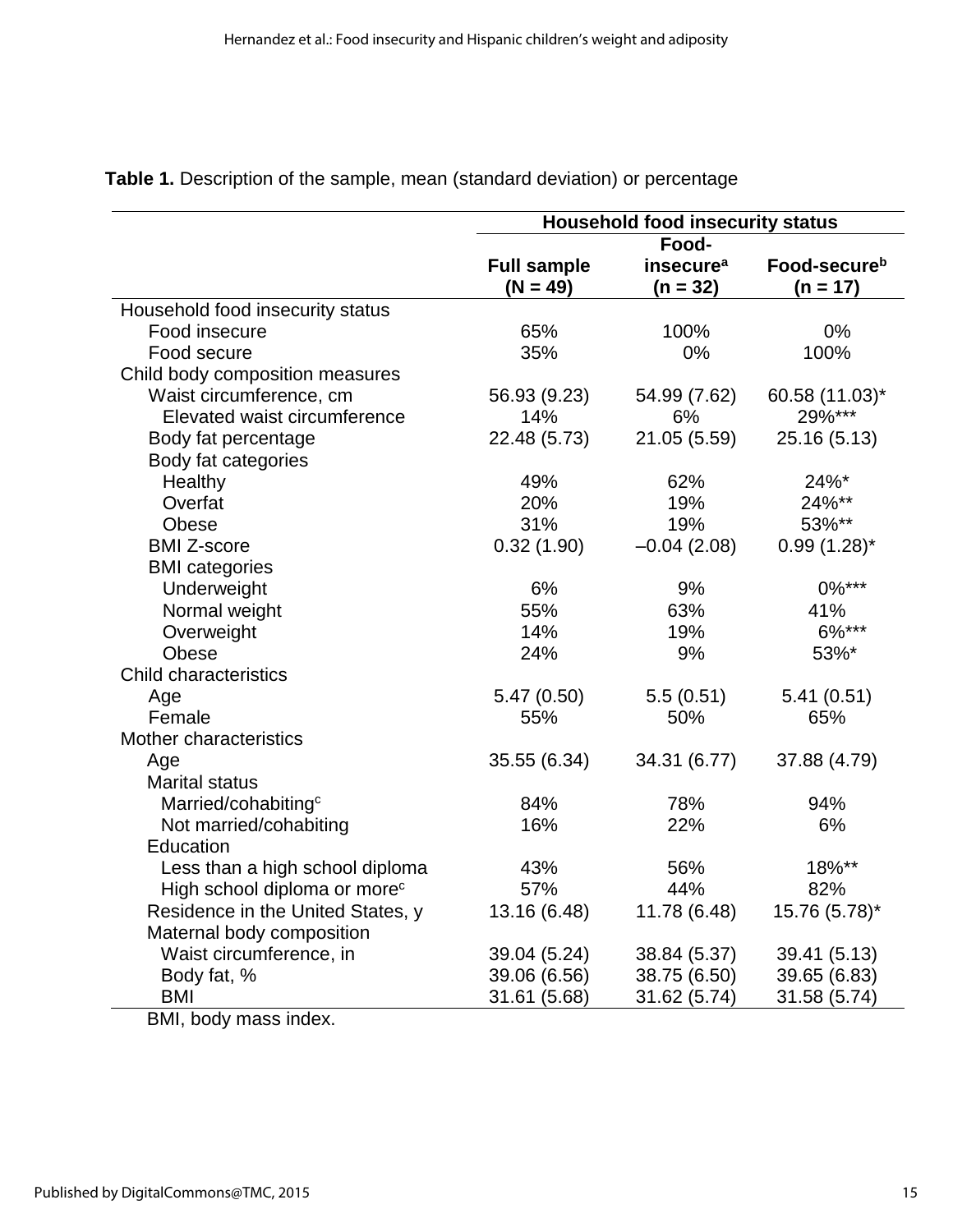|                                          | <b>Household food insecurity status</b> |                       |                          |  |
|------------------------------------------|-----------------------------------------|-----------------------|--------------------------|--|
|                                          | Food-                                   |                       |                          |  |
|                                          | <b>Full sample</b>                      | insecure <sup>a</sup> | Food-secure <sup>b</sup> |  |
|                                          | $(N = 49)$                              | $(n = 32)$            | $(n = 17)$               |  |
| Household food insecurity status         |                                         |                       |                          |  |
| Food insecure                            | 65%                                     | 100%                  | 0%                       |  |
| Food secure                              | 35%                                     | 0%                    | 100%                     |  |
| Child body composition measures          |                                         |                       |                          |  |
| Waist circumference, cm                  | 56.93 (9.23)                            | 54.99 (7.62)          | 60.58 (11.03)*           |  |
| Elevated waist circumference             | 14%                                     | 6%                    | 29%***                   |  |
| Body fat percentage                      | 22.48 (5.73)                            | 21.05 (5.59)          | 25.16 (5.13)             |  |
| Body fat categories                      |                                         |                       |                          |  |
| Healthy                                  | 49%                                     | 62%                   | 24%*                     |  |
| Overfat                                  | 20%                                     | 19%                   | 24%**                    |  |
| Obese                                    | 31%                                     | 19%                   | 53%**                    |  |
| <b>BMI Z-score</b>                       | 0.32(1.90)                              | $-0.04(2.08)$         | $0.99(1.28)$ *           |  |
| <b>BMI</b> categories                    |                                         |                       |                          |  |
| Underweight                              | 6%                                      | 9%                    | $0\%***$                 |  |
| Normal weight                            | 55%                                     | 63%                   | 41%                      |  |
| Overweight                               | 14%                                     | 19%                   | 6%***                    |  |
| Obese                                    | 24%                                     | 9%                    | 53%*                     |  |
| <b>Child characteristics</b>             |                                         |                       |                          |  |
| Age                                      | 5.47(0.50)                              | 5.5(0.51)             | 5.41(0.51)               |  |
| Female                                   | 55%                                     | 50%                   | 65%                      |  |
| Mother characteristics                   |                                         |                       |                          |  |
| Age                                      | 35.55 (6.34)                            | 34.31 (6.77)          | 37.88 (4.79)             |  |
| <b>Marital status</b>                    |                                         |                       |                          |  |
| Married/cohabiting <sup>c</sup>          | 84%                                     | 78%                   | 94%                      |  |
| Not married/cohabiting                   | 16%                                     | 22%                   | 6%                       |  |
| Education                                |                                         |                       |                          |  |
| Less than a high school diploma          | 43%                                     | 56%                   | 18%**                    |  |
| High school diploma or more <sup>c</sup> | 57%                                     | 44%                   | 82%                      |  |
| Residence in the United States, y        | 13.16 (6.48)                            | 11.78 (6.48)          | 15.76 (5.78)*            |  |
| Maternal body composition                |                                         |                       |                          |  |
| Waist circumference, in                  | 39.04 (5.24)                            | 38.84 (5.37)          | 39.41 (5.13)             |  |
| Body fat, %                              | 39.06 (6.56)                            | 38.75 (6.50)          | 39.65 (6.83)             |  |
| <b>BMI</b>                               | 31.61 (5.68)                            | 31.62 (5.74)          | 31.58 (5.74)             |  |

# **Table 1.** Description of the sample, mean (standard deviation) or percentage

BMI, body mass index.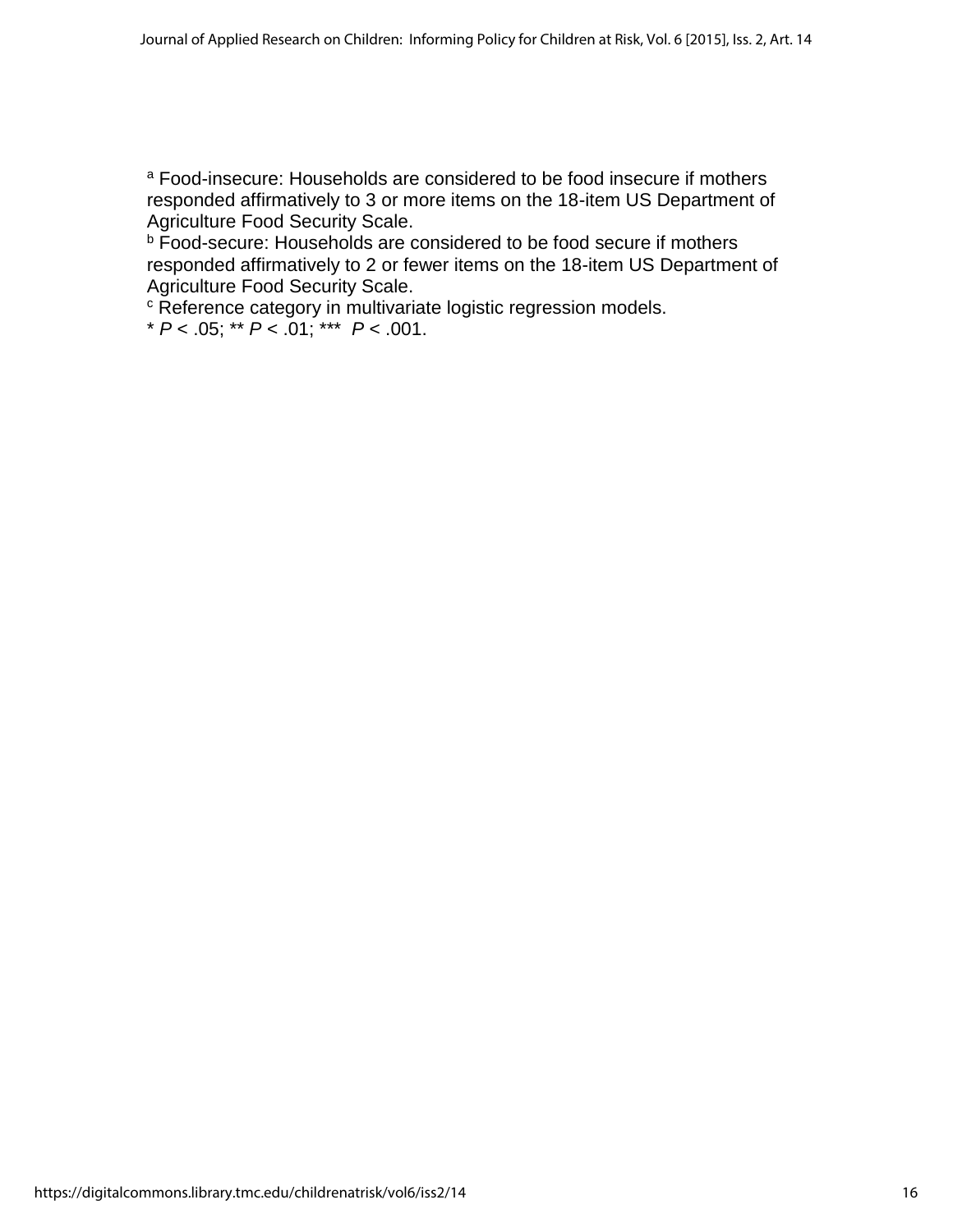<sup>a</sup> Food-insecure: Households are considered to be food insecure if mothers responded affirmatively to 3 or more items on the 18-item US Department of Agriculture Food Security Scale.

**b** Food-secure: Households are considered to be food secure if mothers responded affirmatively to 2 or fewer items on the 18-item US Department of Agriculture Food Security Scale.

<sup>c</sup> Reference category in multivariate logistic regression models.

\* *P* < .05; \*\* *P* < .01; \*\*\* *P* < .001.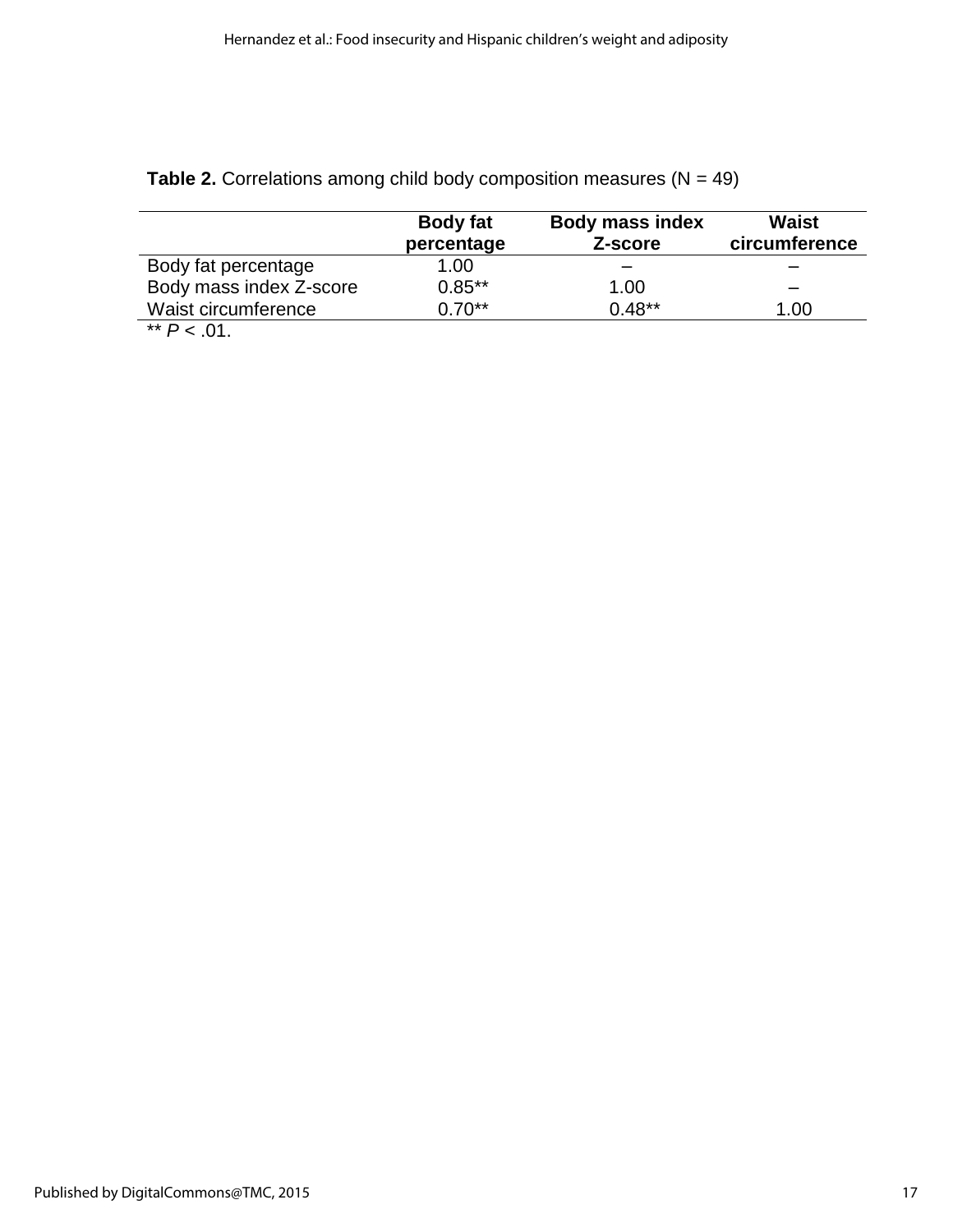|                         | <b>Body fat</b><br>percentage | <b>Body mass index</b><br>Z-score | Waist<br>circumference |
|-------------------------|-------------------------------|-----------------------------------|------------------------|
| Body fat percentage     | 1.00                          |                                   |                        |
| Body mass index Z-score | $0.85***$                     | 1.00                              |                        |
| Waist circumference     | $0.70**$                      | $0.48**$                          | 1.00                   |
| $*$ D $\cdot$ 04        |                               |                                   |                        |

**Table 2.** Correlations among child body composition measures  $(N = 49)$ 

 $*$   $P < .01$ .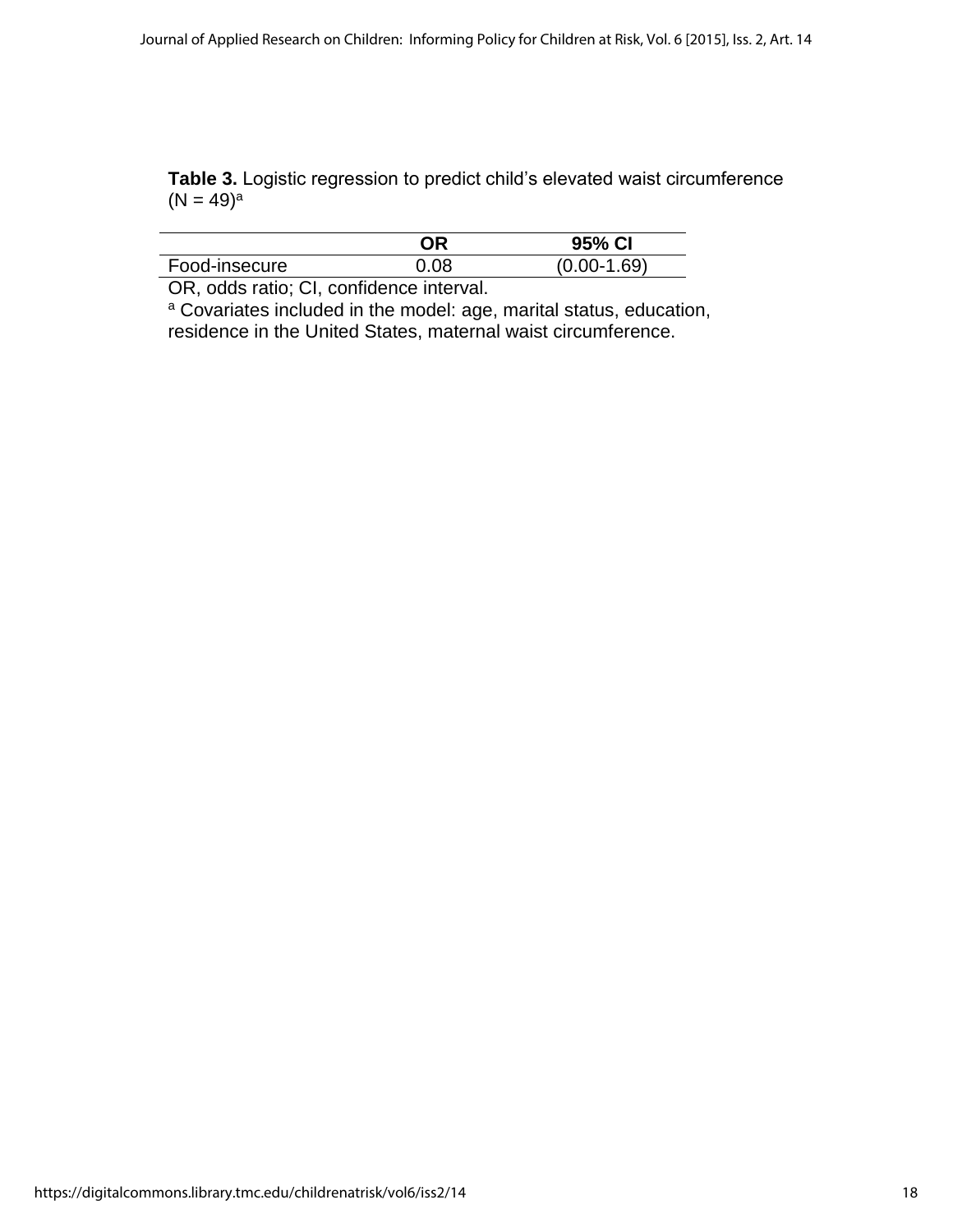**Table 3.** Logistic regression to predict child's elevated waist circumference  $(N = 49)^a$ 

|               | םר   | 95% CI        |
|---------------|------|---------------|
| Food-insecure | 0.08 | $(0.00-1.69)$ |
|               |      |               |

OR, odds ratio; CI, confidence interval.

<sup>a</sup> Covariates included in the model: age, marital status, education, residence in the United States, maternal waist circumference.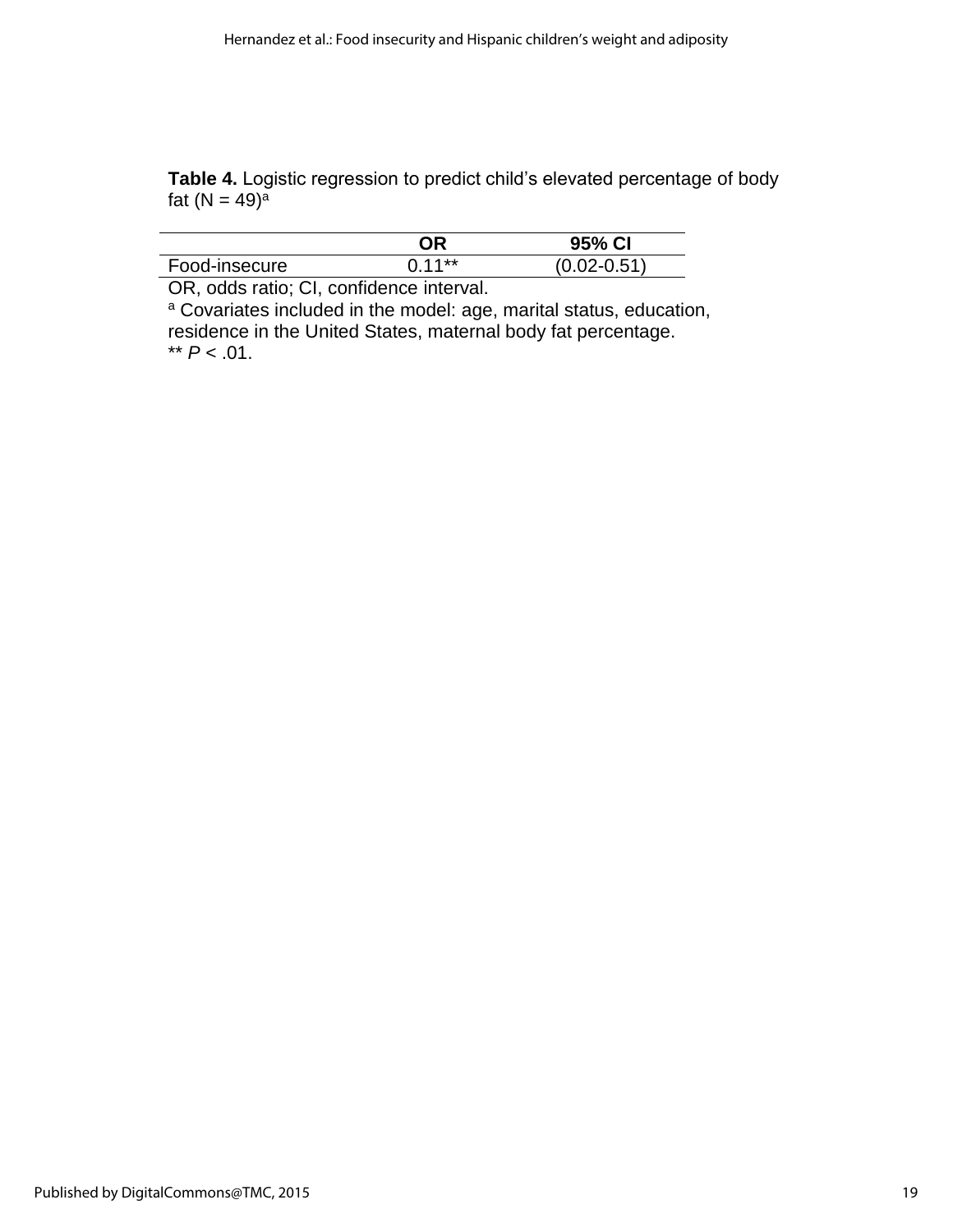**Table 4.** Logistic regression to predict child's elevated percentage of body fat  $(N = 49)^{a}$ 

| $0.11**$ |               | 95% CI          |
|----------|---------------|-----------------|
|          | Food-insecure | $(0.02 - 0.51)$ |

OR, odds ratio; CI, confidence interval.

<sup>a</sup> Covariates included in the model: age, marital status, education, residence in the United States, maternal body fat percentage.  $*$  *P* < .01.